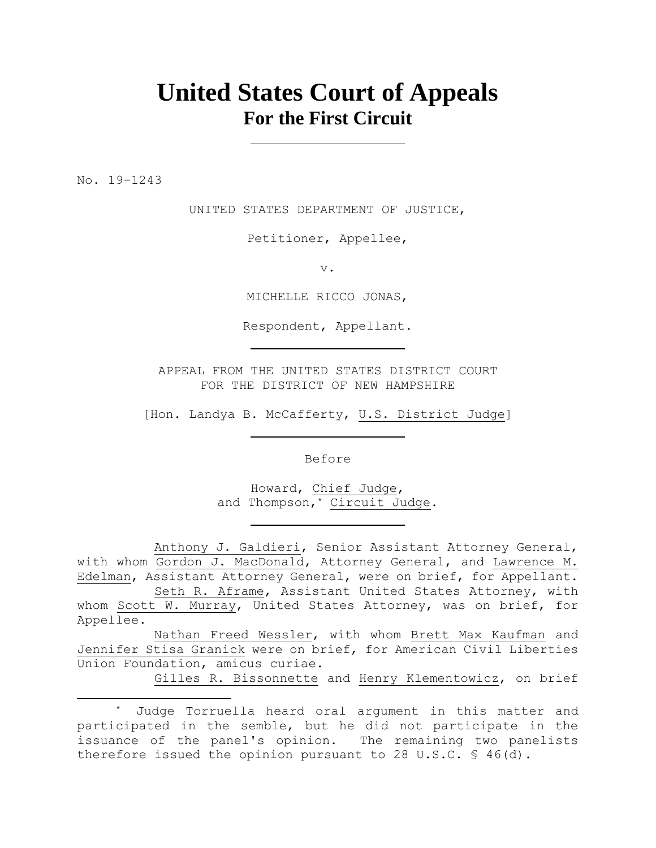## **United States Court of Appeals For the First Circuit**

No. 19-1243

UNITED STATES DEPARTMENT OF JUSTICE,

Petitioner, Appellee,

v.

MICHELLE RICCO JONAS,

Respondent, Appellant.

APPEAL FROM THE UNITED STATES DISTRICT COURT FOR THE DISTRICT OF NEW HAMPSHIRE

[Hon. Landya B. McCafferty, U.S. District Judge]

Before

Howard, Chief Judge, and Thompson, <u>Circuit</u> Judge.

Anthony J. Galdieri, Senior Assistant Attorney General, with whom Gordon J. MacDonald, Attorney General, and Lawrence M. Edelman, Assistant Attorney General, were on brief, for Appellant.

Seth R. Aframe, Assistant United States Attorney, with whom Scott W. Murray, United States Attorney, was on brief, for Appellee.

Nathan Freed Wessler, with whom Brett Max Kaufman and Jennifer Stisa Granick were on brief, for American Civil Liberties Union Foundation, amicus curiae.

Gilles R. Bissonnette and Henry Klementowicz, on brief

<sup>\*</sup> Judge Torruella heard oral argument in this matter and participated in the semble, but he did not participate in the issuance of the panel's opinion. The remaining two panelists therefore issued the opinion pursuant to 28 U.S.C. § 46(d).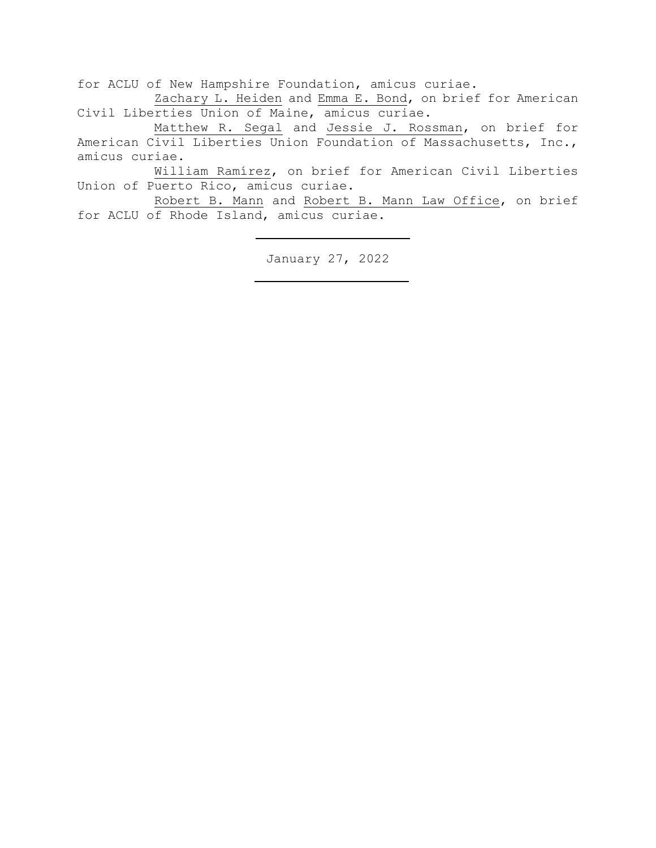for ACLU of New Hampshire Foundation, amicus curiae.

Zachary L. Heiden and Emma E. Bond, on brief for American Civil Liberties Union of Maine, amicus curiae.

Matthew R. Segal and Jessie J. Rossman, on brief for American Civil Liberties Union Foundation of Massachusetts, Inc., amicus curiae.

William Ramírez, on brief for American Civil Liberties Union of Puerto Rico, amicus curiae.

Robert B. Mann and Robert B. Mann Law Office, on brief for ACLU of Rhode Island, amicus curiae.

January 27, 2022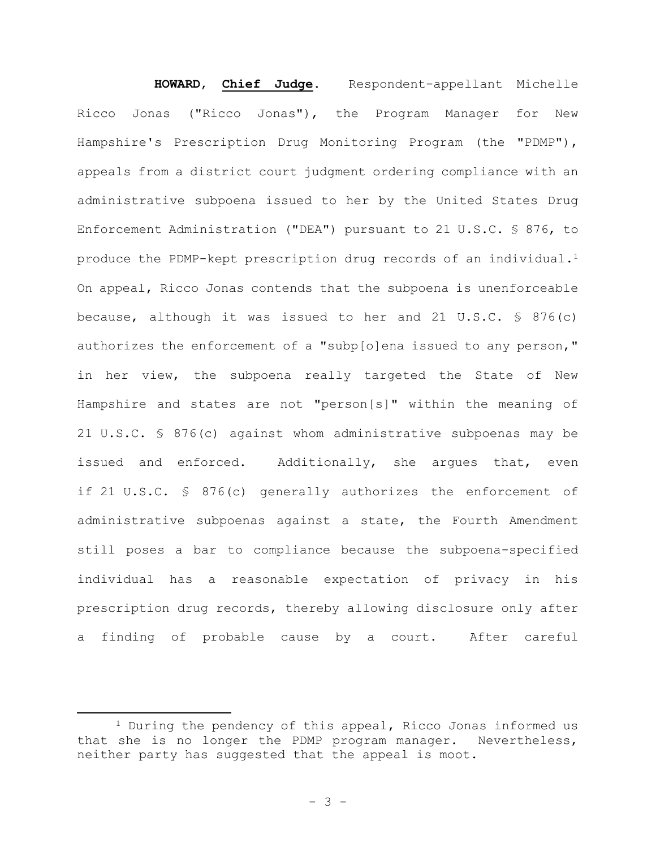# **HOWARD**, **Chief Judge**. Respondent-appellant Michelle Ricco Jonas ("Ricco Jonas"), the Program Manager for New Hampshire's Prescription Drug Monitoring Program (the "PDMP"), appeals from a district court judgment ordering compliance with an administrative subpoena issued to her by the United States Drug Enforcement Administration ("DEA") pursuant to 21 U.S.C. § 876, to produce the PDMP-kept prescription drug records of an individual.<sup>1</sup>

On appeal, Ricco Jonas contends that the subpoena is unenforceable because, although it was issued to her and 21 U.S.C. § 876(c) authorizes the enforcement of a "subp[o]ena issued to any person," in her view, the subpoena really targeted the State of New Hampshire and states are not "person[s]" within the meaning of 21 U.S.C. § 876(c) against whom administrative subpoenas may be issued and enforced. Additionally, she argues that, even if 21 U.S.C. § 876(c) generally authorizes the enforcement of administrative subpoenas against a state, the Fourth Amendment still poses a bar to compliance because the subpoena-specified individual has a reasonable expectation of privacy in his prescription drug records, thereby allowing disclosure only after a finding of probable cause by a court. After careful

<sup>1</sup> During the pendency of this appeal, Ricco Jonas informed us that she is no longer the PDMP program manager. Nevertheless, neither party has suggested that the appeal is moot.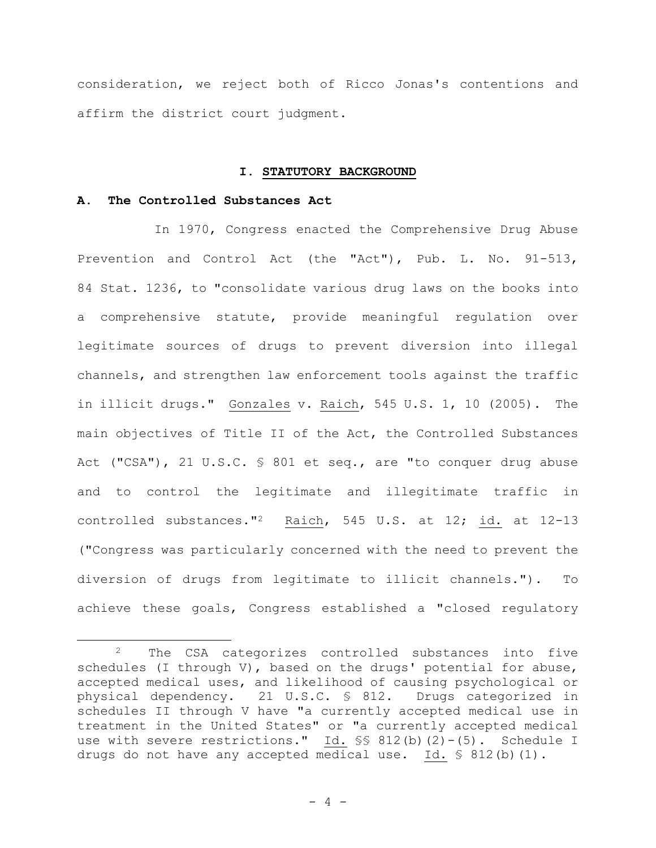consideration, we reject both of Ricco Jonas's contentions and affirm the district court judgment.

#### **I. STATUTORY BACKGROUND**

#### **A. The Controlled Substances Act**

In 1970, Congress enacted the Comprehensive Drug Abuse Prevention and Control Act (the "Act"), Pub. L. No. 91-513, 84 Stat. 1236, to "consolidate various drug laws on the books into a comprehensive statute, provide meaningful regulation over legitimate sources of drugs to prevent diversion into illegal channels, and strengthen law enforcement tools against the traffic in illicit drugs." Gonzales v. Raich, 545 U.S. 1, 10 (2005). The main objectives of Title II of the Act, the Controlled Substances Act ("CSA"), 21 U.S.C. § 801 et seq., are "to conquer drug abuse and to control the legitimate and illegitimate traffic in controlled substances."2 Raich, 545 U.S. at 12; id. at 12-13 ("Congress was particularly concerned with the need to prevent the diversion of drugs from legitimate to illicit channels."). To achieve these goals, Congress established a "closed regulatory

<sup>2</sup> The CSA categorizes controlled substances into five schedules (I through V), based on the drugs' potential for abuse, accepted medical uses, and likelihood of causing psychological or physical dependency. 21 U.S.C. § 812. Drugs categorized in schedules II through V have "a currently accepted medical use in treatment in the United States" or "a currently accepted medical use with severe restrictions."  $\underline{Id.}$  \$\$ 812(b)(2)-(5). Schedule I drugs do not have any accepted medical use. Id.  $\frac{1}{5}$  812(b)(1).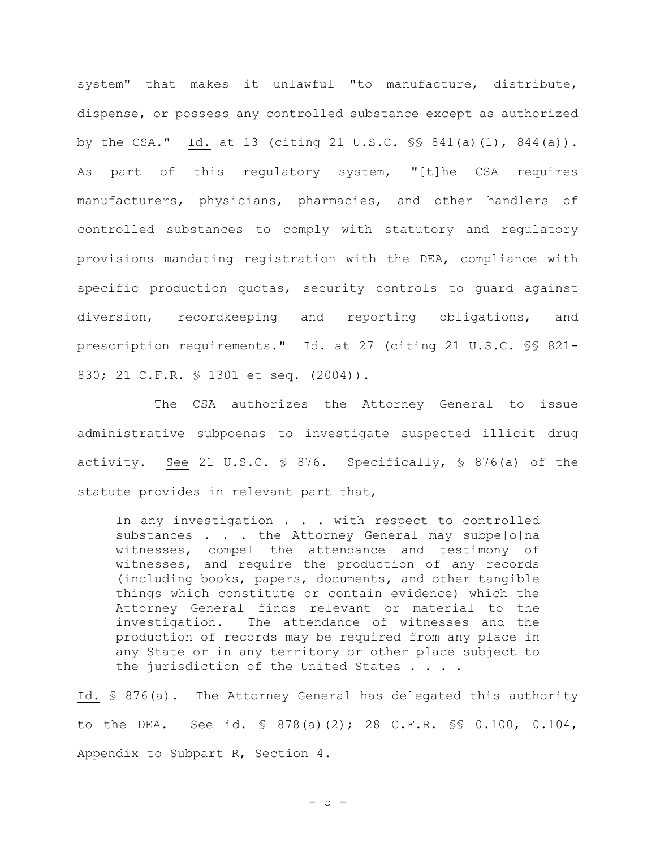system" that makes it unlawful "to manufacture, distribute, dispense, or possess any controlled substance except as authorized by the CSA." Id. at 13 (citing 21 U.S.C. §§ 841(a)(1), 844(a)). As part of this regulatory system, "[t]he CSA requires manufacturers, physicians, pharmacies, and other handlers of controlled substances to comply with statutory and regulatory provisions mandating registration with the DEA, compliance with specific production quotas, security controls to guard against diversion, recordkeeping and reporting obligations, and prescription requirements." Id. at 27 (citing 21 U.S.C. §§ 821- 830; 21 C.F.R. § 1301 et seq. (2004)).

The CSA authorizes the Attorney General to issue administrative subpoenas to investigate suspected illicit drug activity. See 21 U.S.C. § 876. Specifically, § 876(a) of the statute provides in relevant part that,

In any investigation . . . with respect to controlled substances . . . the Attorney General may subpe[o]na witnesses, compel the attendance and testimony of witnesses, and require the production of any records (including books, papers, documents, and other tangible things which constitute or contain evidence) which the Attorney General finds relevant or material to the investigation. The attendance of witnesses and the production of records may be required from any place in any State or in any territory or other place subject to the jurisdiction of the United States . . . .

Id. § 876(a). The Attorney General has delegated this authority to the DEA. See id. § 878(a)(2); 28 C.F.R. §§ 0.100, 0.104, Appendix to Subpart R, Section 4.

 $- 5 -$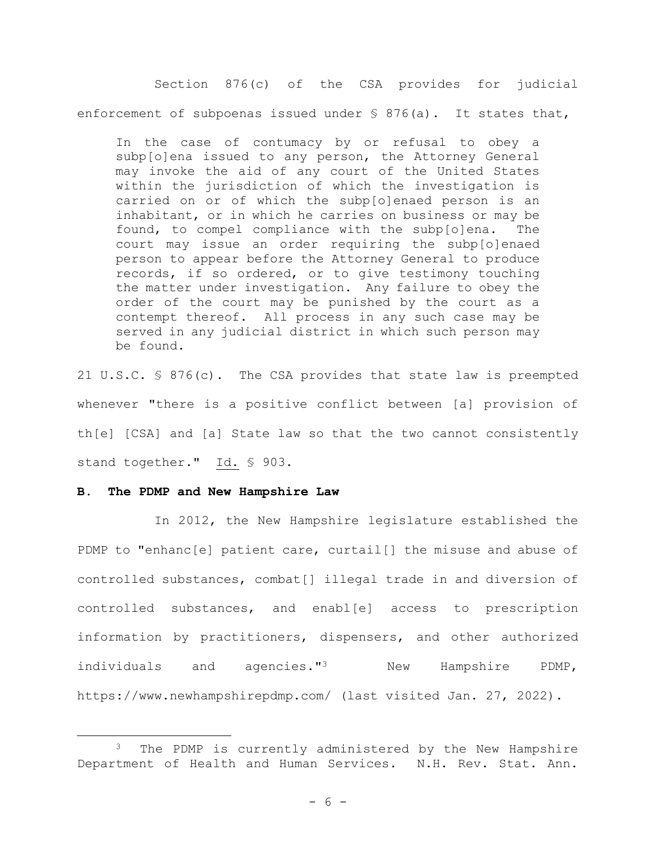Section 876(c) of the CSA provides for judicial enforcement of subpoenas issued under  $\frac{1}{2}$  876(a). It states that,

In the case of contumacy by or refusal to obey a subp[o]ena issued to any person, the Attorney General may invoke the aid of any court of the United States within the jurisdiction of which the investigation is carried on or of which the subp[o]enaed person is an inhabitant, or in which he carries on business or may be found, to compel compliance with the subp[o]ena. The court may issue an order requiring the subp[o]enaed person to appear before the Attorney General to produce records, if so ordered, or to give testimony touching the matter under investigation. Any failure to obey the order of the court may be punished by the court as a contempt thereof. All process in any such case may be served in any judicial district in which such person may be found.

21 U.S.C. § 876(c). The CSA provides that state law is preempted whenever "there is a positive conflict between [a] provision of th[e] [CSA] and [a] State law so that the two cannot consistently stand together." Id. § 903.

#### **B. The PDMP and New Hampshire Law**

In 2012, the New Hampshire legislature established the PDMP to "enhanc[e] patient care, curtail[] the misuse and abuse of controlled substances, combat[] illegal trade in and diversion of controlled substances, and enabl[e] access to prescription information by practitioners, dispensers, and other authorized individuals and agencies."<sup>3</sup> New Hampshire PDMP, https://www.newhampshirepdmp.com/ (last visited Jan. 27, 2022).

<sup>&</sup>lt;sup>3</sup> The PDMP is currently administered by the New Hampshire Department of Health and Human Services. N.H. Rev. Stat. Ann.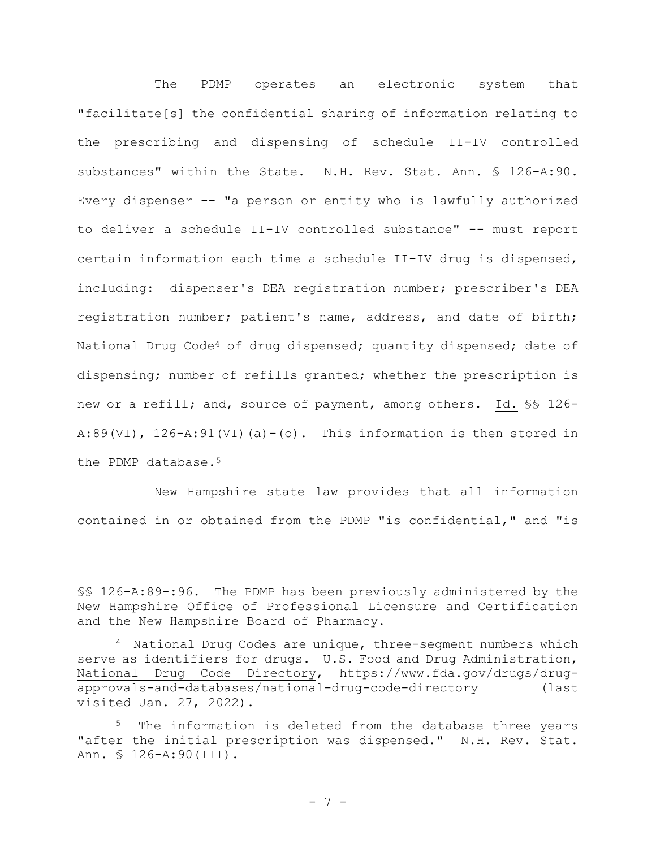The PDMP operates an electronic system that "facilitate[s] the confidential sharing of information relating to the prescribing and dispensing of schedule II-IV controlled substances" within the State. N.H. Rev. Stat. Ann. § 126-A:90. Every dispenser -- "a person or entity who is lawfully authorized to deliver a schedule II-IV controlled substance" -- must report certain information each time a schedule II-IV drug is dispensed, including: dispenser's DEA registration number; prescriber's DEA registration number; patient's name, address, and date of birth; National Drug Code<sup>4</sup> of drug dispensed; quantity dispensed; date of dispensing; number of refills granted; whether the prescription is new or a refill; and, source of payment, among others. Id. \$\$ 126-A:89(VI),  $126-A:91$ (VI)(a)-(o). This information is then stored in the PDMP database.<sup>5</sup>

New Hampshire state law provides that all information contained in or obtained from the PDMP "is confidential," and "is

<sup>§§</sup> 126-A:89-:96. The PDMP has been previously administered by the New Hampshire Office of Professional Licensure and Certification and the New Hampshire Board of Pharmacy.

<sup>4</sup> National Drug Codes are unique, three-segment numbers which serve as identifiers for drugs. U.S. Food and Drug Administration, National Drug Code Directory, https://www.fda.gov/drugs/drugapprovals-and-databases/national-drug-code-directory (last visited Jan. 27, 2022).

The information is deleted from the database three years "after the initial prescription was dispensed." N.H. Rev. Stat. Ann. § 126-A:90(III).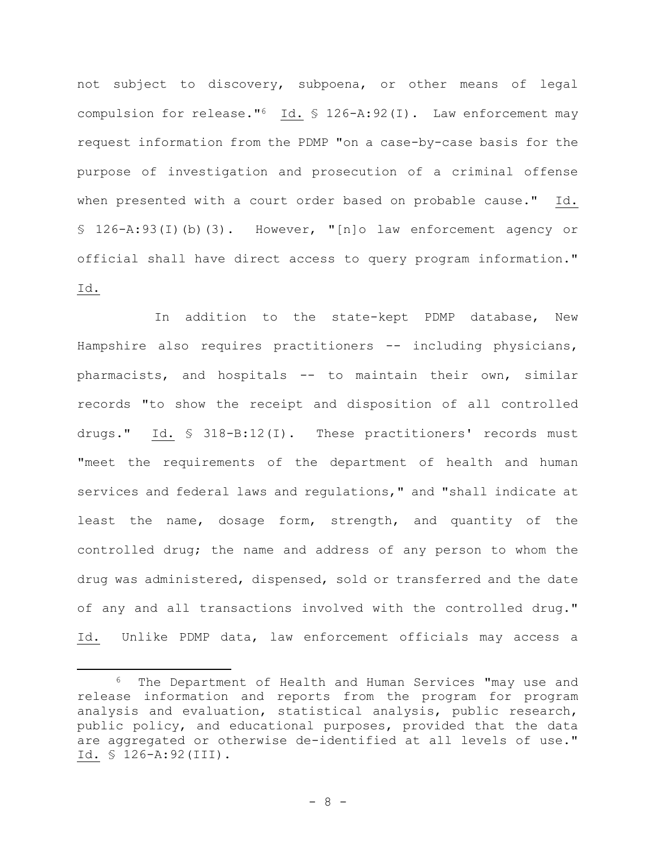not subject to discovery, subpoena, or other means of legal compulsion for release."<sup>6</sup> Id. § 126-A:92(I). Law enforcement may request information from the PDMP "on a case-by-case basis for the purpose of investigation and prosecution of a criminal offense when presented with a court order based on probable cause." Id. § 126-A:93(I)(b)(3). However, "[n]o law enforcement agency or official shall have direct access to query program information." Id.

In addition to the state-kept PDMP database, New Hampshire also requires practitioners -- including physicians, pharmacists, and hospitals -- to maintain their own, similar records "to show the receipt and disposition of all controlled drugs." Id. § 318-B:12(I). These practitioners' records must "meet the requirements of the department of health and human services and federal laws and regulations," and "shall indicate at least the name, dosage form, strength, and quantity of the controlled drug; the name and address of any person to whom the drug was administered, dispensed, sold or transferred and the date of any and all transactions involved with the controlled drug." Id. Unlike PDMP data, law enforcement officials may access a

<sup>6</sup> The Department of Health and Human Services "may use and release information and reports from the program for program analysis and evaluation, statistical analysis, public research, public policy, and educational purposes, provided that the data are aggregated or otherwise de-identified at all levels of use." Id. § 126-A:92(III).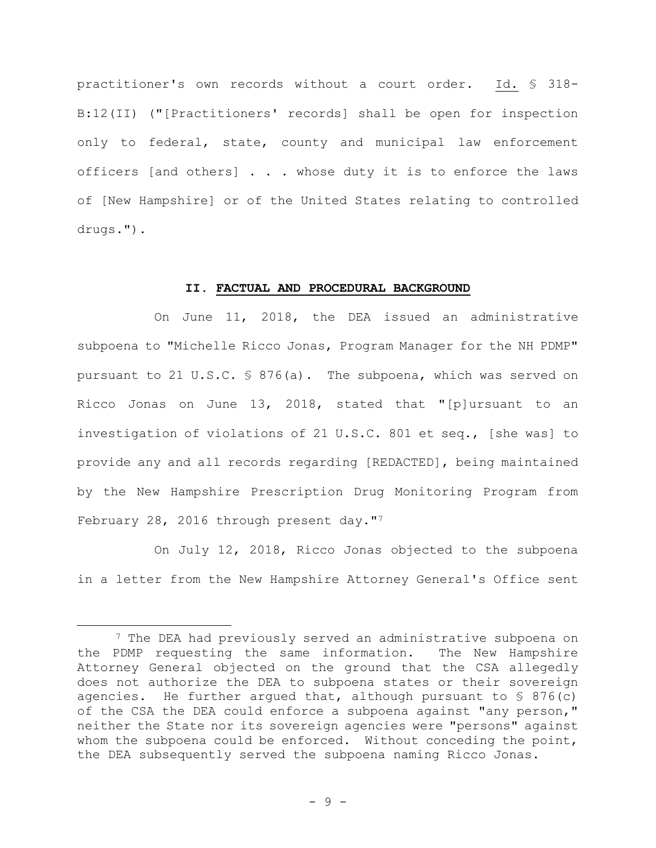practitioner's own records without a court order. Id. § 318- B:12(II) ("[Practitioners' records] shall be open for inspection only to federal, state, county and municipal law enforcement officers [and others] . . . whose duty it is to enforce the laws of [New Hampshire] or of the United States relating to controlled drugs.").

#### **II. FACTUAL AND PROCEDURAL BACKGROUND**

On June 11, 2018, the DEA issued an administrative subpoena to "Michelle Ricco Jonas, Program Manager for the NH PDMP" pursuant to 21 U.S.C. § 876(a). The subpoena, which was served on Ricco Jonas on June 13, 2018, stated that "[p]ursuant to an investigation of violations of 21 U.S.C. 801 et seq., [she was] to provide any and all records regarding [REDACTED], being maintained by the New Hampshire Prescription Drug Monitoring Program from February 28, 2016 through present day."7

On July 12, 2018, Ricco Jonas objected to the subpoena in a letter from the New Hampshire Attorney General's Office sent

<sup>&</sup>lt;sup>7</sup> The DEA had previously served an administrative subpoena on the PDMP requesting the same information. The New Hampshire Attorney General objected on the ground that the CSA allegedly does not authorize the DEA to subpoena states or their sovereign agencies. He further argued that, although pursuant to  $\S$  876(c) of the CSA the DEA could enforce a subpoena against "any person," neither the State nor its sovereign agencies were "persons" against whom the subpoena could be enforced. Without conceding the point, the DEA subsequently served the subpoena naming Ricco Jonas.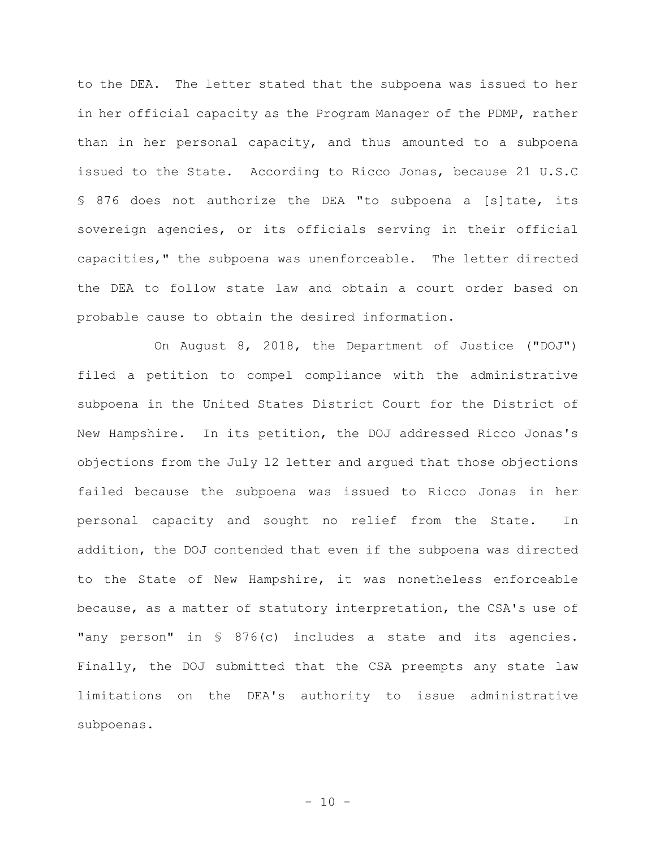to the DEA. The letter stated that the subpoena was issued to her in her official capacity as the Program Manager of the PDMP, rather than in her personal capacity, and thus amounted to a subpoena issued to the State. According to Ricco Jonas, because 21 U.S.C § 876 does not authorize the DEA "to subpoena a [s]tate, its sovereign agencies, or its officials serving in their official capacities," the subpoena was unenforceable. The letter directed the DEA to follow state law and obtain a court order based on probable cause to obtain the desired information.

On August 8, 2018, the Department of Justice ("DOJ") filed a petition to compel compliance with the administrative subpoena in the United States District Court for the District of New Hampshire. In its petition, the DOJ addressed Ricco Jonas's objections from the July 12 letter and argued that those objections failed because the subpoena was issued to Ricco Jonas in her personal capacity and sought no relief from the State. In addition, the DOJ contended that even if the subpoena was directed to the State of New Hampshire, it was nonetheless enforceable because, as a matter of statutory interpretation, the CSA's use of "any person" in § 876(c) includes a state and its agencies. Finally, the DOJ submitted that the CSA preempts any state law limitations on the DEA's authority to issue administrative subpoenas.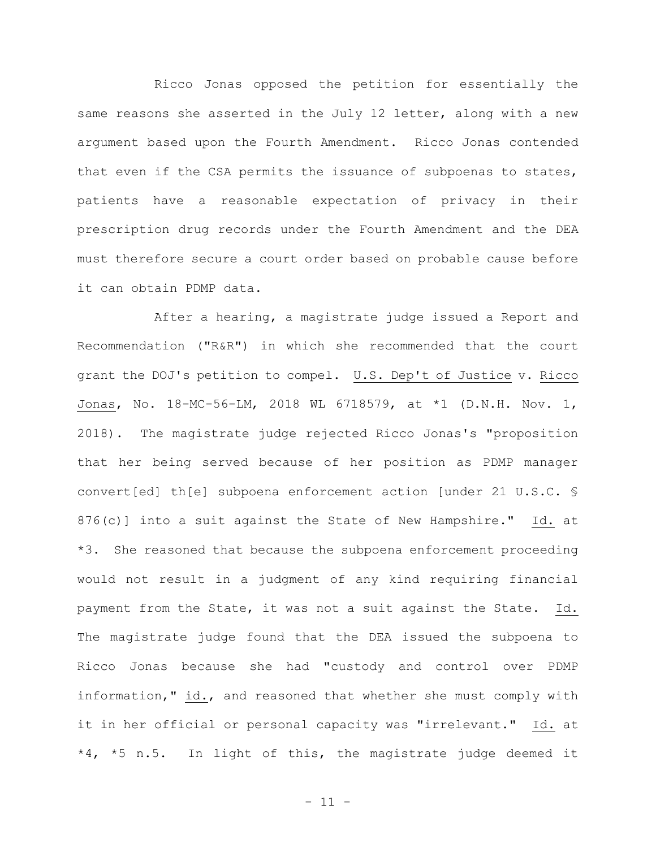Ricco Jonas opposed the petition for essentially the same reasons she asserted in the July 12 letter, along with a new argument based upon the Fourth Amendment. Ricco Jonas contended that even if the CSA permits the issuance of subpoenas to states, patients have a reasonable expectation of privacy in their prescription drug records under the Fourth Amendment and the DEA must therefore secure a court order based on probable cause before it can obtain PDMP data.

After a hearing, a magistrate judge issued a Report and Recommendation ("R&R") in which she recommended that the court grant the DOJ's petition to compel. U.S. Dep't of Justice v. Ricco Jonas, No. 18-MC-56-LM, 2018 WL 6718579, at \*1 (D.N.H. Nov. 1, 2018). The magistrate judge rejected Ricco Jonas's "proposition that her being served because of her position as PDMP manager convert[ed] th[e] subpoena enforcement action [under 21 U.S.C. § 876(c)] into a suit against the State of New Hampshire." Id. at \*3. She reasoned that because the subpoena enforcement proceeding would not result in a judgment of any kind requiring financial payment from the State, it was not a suit against the State. Id. The magistrate judge found that the DEA issued the subpoena to Ricco Jonas because she had "custody and control over PDMP information," id., and reasoned that whether she must comply with it in her official or personal capacity was "irrelevant." Id. at \*4, \*5 n.5. In light of this, the magistrate judge deemed it

- 11 -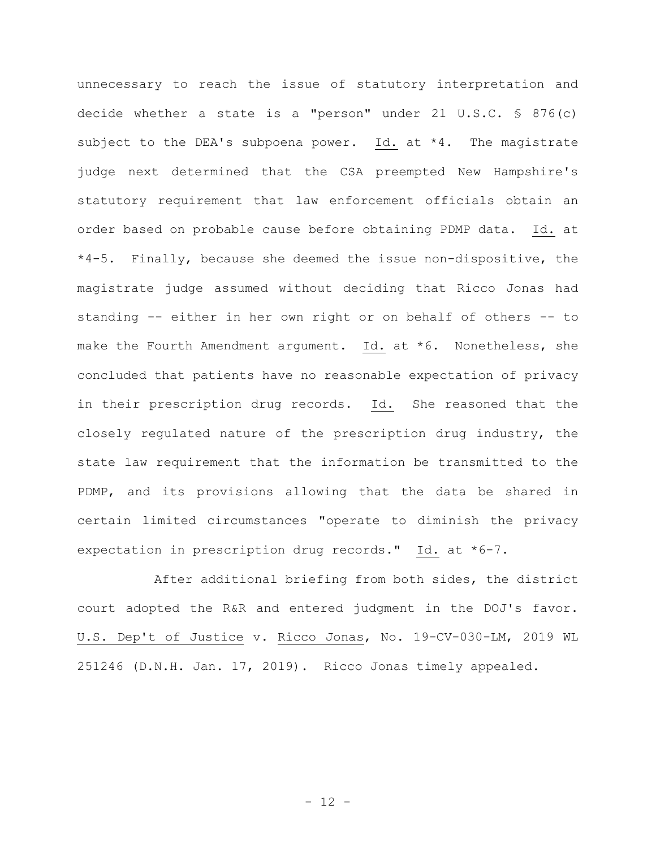unnecessary to reach the issue of statutory interpretation and decide whether a state is a "person" under 21 U.S.C. § 876(c) subject to the DEA's subpoena power. Id. at \*4. The magistrate judge next determined that the CSA preempted New Hampshire's statutory requirement that law enforcement officials obtain an order based on probable cause before obtaining PDMP data. Id. at \*4-5. Finally, because she deemed the issue non-dispositive, the magistrate judge assumed without deciding that Ricco Jonas had standing -- either in her own right or on behalf of others -- to make the Fourth Amendment argument. Id. at \*6. Nonetheless, she concluded that patients have no reasonable expectation of privacy in their prescription drug records. Id. She reasoned that the closely regulated nature of the prescription drug industry, the state law requirement that the information be transmitted to the PDMP, and its provisions allowing that the data be shared in certain limited circumstances "operate to diminish the privacy expectation in prescription drug records." Id. at \*6-7.

After additional briefing from both sides, the district court adopted the R&R and entered judgment in the DOJ's favor. U.S. Dep't of Justice v. Ricco Jonas, No. 19-CV-030-LM, 2019 WL 251246 (D.N.H. Jan. 17, 2019). Ricco Jonas timely appealed.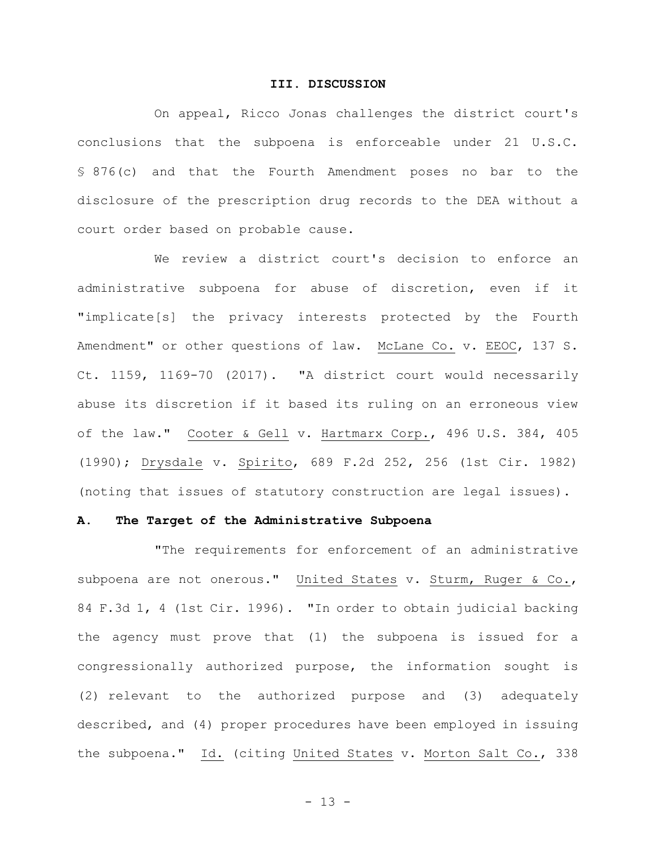#### **III. DISCUSSION**

On appeal, Ricco Jonas challenges the district court's conclusions that the subpoena is enforceable under 21 U.S.C. § 876(c) and that the Fourth Amendment poses no bar to the disclosure of the prescription drug records to the DEA without a court order based on probable cause.

We review a district court's decision to enforce an administrative subpoena for abuse of discretion, even if it "implicate[s] the privacy interests protected by the Fourth Amendment" or other questions of law. McLane Co. v. EEOC, 137 S. Ct. 1159, 1169-70 (2017). "A district court would necessarily abuse its discretion if it based its ruling on an erroneous view of the law." Cooter & Gell v. Hartmarx Corp., 496 U.S. 384, 405 (1990); Drysdale v. Spirito, 689 F.2d 252, 256 (1st Cir. 1982) (noting that issues of statutory construction are legal issues).

#### **A. The Target of the Administrative Subpoena**

"The requirements for enforcement of an administrative subpoena are not onerous." United States v. Sturm, Ruger & Co., 84 F.3d 1, 4 (1st Cir. 1996). "In order to obtain judicial backing the agency must prove that (1) the subpoena is issued for a congressionally authorized purpose, the information sought is (2) relevant to the authorized purpose and (3) adequately described, and (4) proper procedures have been employed in issuing the subpoena." Id. (citing United States v. Morton Salt Co., 338

- 13 -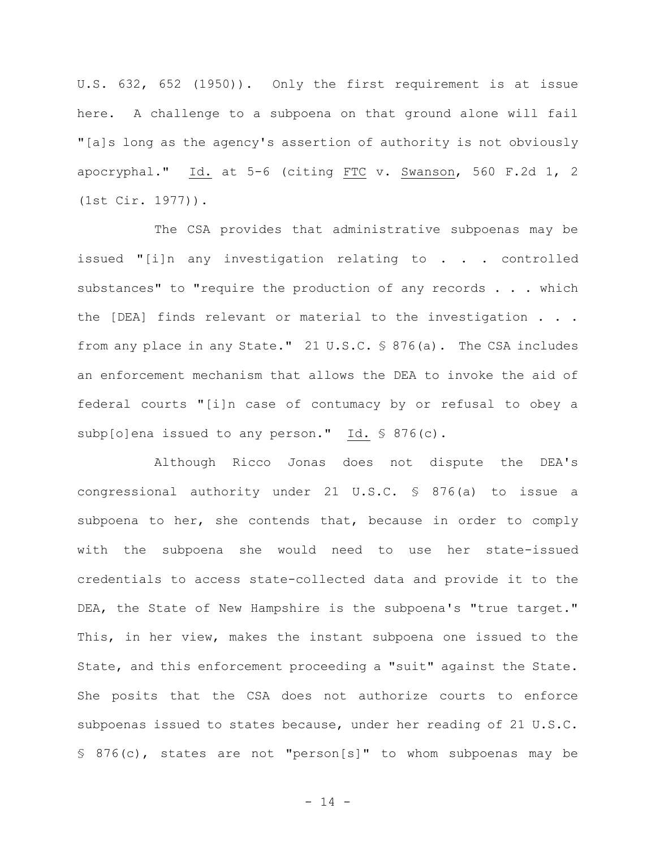U.S. 632, 652 (1950)). Only the first requirement is at issue here. A challenge to a subpoena on that ground alone will fail "[a]s long as the agency's assertion of authority is not obviously apocryphal." Id. at 5-6 (citing FTC v. Swanson, 560 F.2d 1, 2 (1st Cir. 1977)).

The CSA provides that administrative subpoenas may be issued "[i]n any investigation relating to . . . controlled substances" to "require the production of any records . . . which the [DEA] finds relevant or material to the investigation . . . from any place in any State." 21 U.S.C. § 876(a). The CSA includes an enforcement mechanism that allows the DEA to invoke the aid of federal courts "[i]n case of contumacy by or refusal to obey a subp[o]ena issued to any person." Id. § 876(c).

Although Ricco Jonas does not dispute the DEA's congressional authority under 21 U.S.C. § 876(a) to issue a subpoena to her, she contends that, because in order to comply with the subpoena she would need to use her state-issued credentials to access state-collected data and provide it to the DEA, the State of New Hampshire is the subpoena's "true target." This, in her view, makes the instant subpoena one issued to the State, and this enforcement proceeding a "suit" against the State. She posits that the CSA does not authorize courts to enforce subpoenas issued to states because, under her reading of 21 U.S.C. § 876(c), states are not "person[s]" to whom subpoenas may be

- 14 -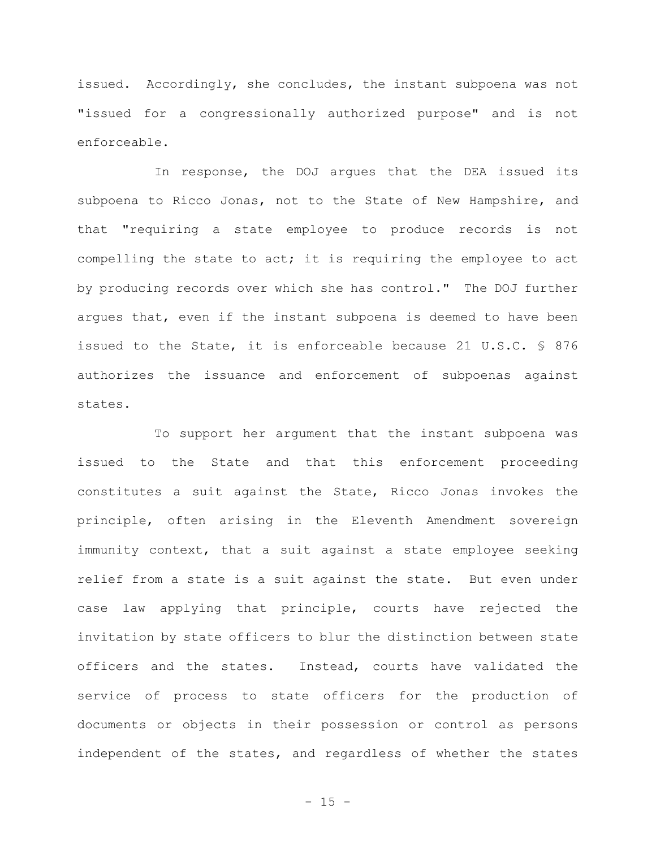issued. Accordingly, she concludes, the instant subpoena was not "issued for a congressionally authorized purpose" and is not enforceable.

In response, the DOJ argues that the DEA issued its subpoena to Ricco Jonas, not to the State of New Hampshire, and that "requiring a state employee to produce records is not compelling the state to act; it is requiring the employee to act by producing records over which she has control." The DOJ further argues that, even if the instant subpoena is deemed to have been issued to the State, it is enforceable because 21 U.S.C. § 876 authorizes the issuance and enforcement of subpoenas against states.

To support her argument that the instant subpoena was issued to the State and that this enforcement proceeding constitutes a suit against the State, Ricco Jonas invokes the principle, often arising in the Eleventh Amendment sovereign immunity context, that a suit against a state employee seeking relief from a state is a suit against the state. But even under case law applying that principle, courts have rejected the invitation by state officers to blur the distinction between state officers and the states. Instead, courts have validated the service of process to state officers for the production of documents or objects in their possession or control as persons independent of the states, and regardless of whether the states

 $- 15 -$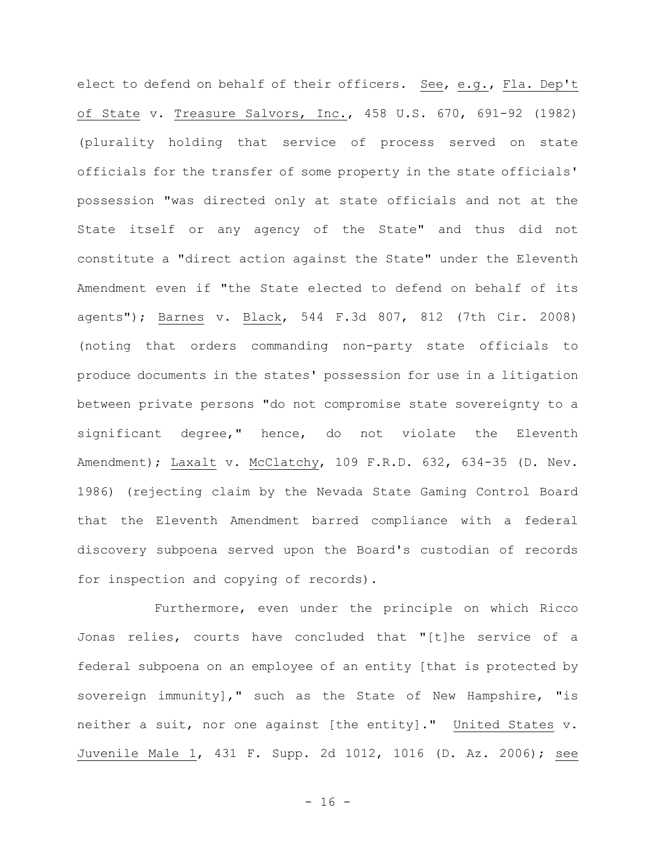elect to defend on behalf of their officers. See, e.g., Fla. Dep't of State v. Treasure Salvors, Inc., 458 U.S. 670, 691-92 (1982) (plurality holding that service of process served on state officials for the transfer of some property in the state officials' possession "was directed only at state officials and not at the State itself or any agency of the State" and thus did not constitute a "direct action against the State" under the Eleventh Amendment even if "the State elected to defend on behalf of its agents"); Barnes v. Black, 544 F.3d 807, 812 (7th Cir. 2008) (noting that orders commanding non-party state officials to produce documents in the states' possession for use in a litigation between private persons "do not compromise state sovereignty to a significant degree," hence, do not violate the Eleventh Amendment); Laxalt v. McClatchy, 109 F.R.D. 632, 634-35 (D. Nev. 1986) (rejecting claim by the Nevada State Gaming Control Board that the Eleventh Amendment barred compliance with a federal discovery subpoena served upon the Board's custodian of records for inspection and copying of records).

Furthermore, even under the principle on which Ricco Jonas relies, courts have concluded that "[t]he service of a federal subpoena on an employee of an entity [that is protected by sovereign immunity]," such as the State of New Hampshire, "is neither a suit, nor one against [the entity]." United States v. Juvenile Male 1, 431 F. Supp. 2d 1012, 1016 (D. Az. 2006); see

 $- 16 -$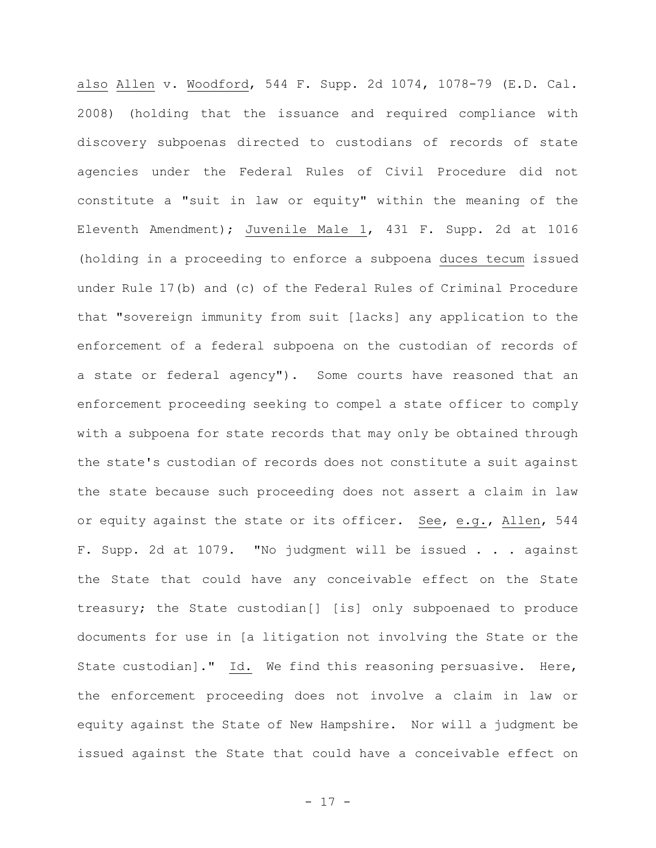also Allen v. Woodford, 544 F. Supp. 2d 1074, 1078-79 (E.D. Cal. 2008) (holding that the issuance and required compliance with discovery subpoenas directed to custodians of records of state agencies under the Federal Rules of Civil Procedure did not constitute a "suit in law or equity" within the meaning of the Eleventh Amendment); Juvenile Male 1, 431 F. Supp. 2d at 1016 (holding in a proceeding to enforce a subpoena duces tecum issued under Rule 17(b) and (c) of the Federal Rules of Criminal Procedure that "sovereign immunity from suit [lacks] any application to the enforcement of a federal subpoena on the custodian of records of a state or federal agency"). Some courts have reasoned that an enforcement proceeding seeking to compel a state officer to comply with a subpoena for state records that may only be obtained through the state's custodian of records does not constitute a suit against the state because such proceeding does not assert a claim in law or equity against the state or its officer. See, e.g., Allen, 544 F. Supp. 2d at 1079. "No judgment will be issued . . . against the State that could have any conceivable effect on the State treasury; the State custodian[] [is] only subpoenaed to produce documents for use in [a litigation not involving the State or the State custodian]." Id. We find this reasoning persuasive. Here, the enforcement proceeding does not involve a claim in law or equity against the State of New Hampshire. Nor will a judgment be issued against the State that could have a conceivable effect on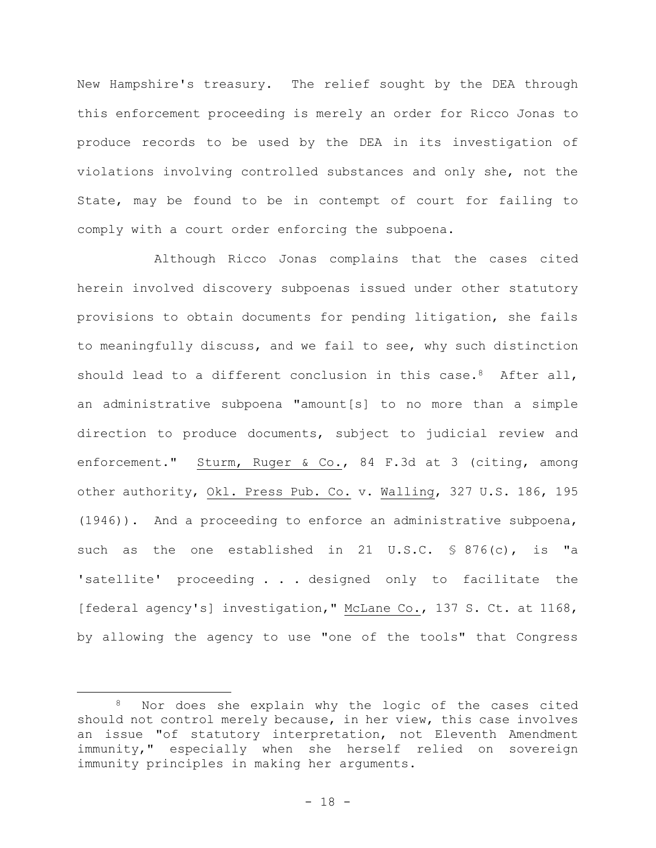New Hampshire's treasury. The relief sought by the DEA through this enforcement proceeding is merely an order for Ricco Jonas to produce records to be used by the DEA in its investigation of violations involving controlled substances and only she, not the State, may be found to be in contempt of court for failing to comply with a court order enforcing the subpoena.

Although Ricco Jonas complains that the cases cited herein involved discovery subpoenas issued under other statutory provisions to obtain documents for pending litigation, she fails to meaningfully discuss, and we fail to see, why such distinction should lead to a different conclusion in this case.<sup>8</sup> After all, an administrative subpoena "amount[s] to no more than a simple direction to produce documents, subject to judicial review and enforcement." Sturm, Ruger & Co., 84 F.3d at 3 (citing, among other authority, Okl. Press Pub. Co. v. Walling, 327 U.S. 186, 195 (1946)). And a proceeding to enforce an administrative subpoena, such as the one established in 21 U.S.C. § 876(c), is "a 'satellite' proceeding . . . designed only to facilitate the [federal agency's] investigation," McLane Co., 137 S. Ct. at 1168, by allowing the agency to use "one of the tools" that Congress

<sup>8</sup> Nor does she explain why the logic of the cases cited should not control merely because, in her view, this case involves an issue "of statutory interpretation, not Eleventh Amendment immunity," especially when she herself relied on sovereign immunity principles in making her arguments.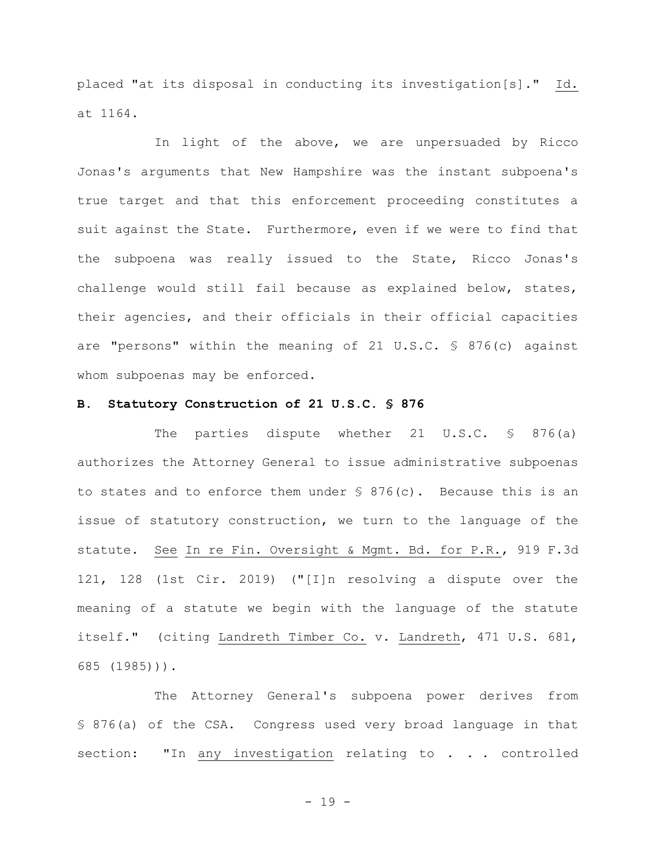placed "at its disposal in conducting its investigation[s]." Id. at 1164.

In light of the above, we are unpersuaded by Ricco Jonas's arguments that New Hampshire was the instant subpoena's true target and that this enforcement proceeding constitutes a suit against the State. Furthermore, even if we were to find that the subpoena was really issued to the State, Ricco Jonas's challenge would still fail because as explained below, states, their agencies, and their officials in their official capacities are "persons" within the meaning of 21 U.S.C. § 876(c) against whom subpoenas may be enforced.

#### **B. Statutory Construction of 21 U.S.C. § 876**

The parties dispute whether 21 U.S.C. § 876(a) authorizes the Attorney General to issue administrative subpoenas to states and to enforce them under  $\frac{1}{5}$  876(c). Because this is an issue of statutory construction, we turn to the language of the statute. See In re Fin. Oversight & Mgmt. Bd. for P.R., 919 F.3d 121, 128 (1st Cir. 2019) ("[I]n resolving a dispute over the meaning of a statute we begin with the language of the statute itself." (citing Landreth Timber Co. v. Landreth, 471 U.S. 681, 685 (1985))).

The Attorney General's subpoena power derives from § 876(a) of the CSA. Congress used very broad language in that section: "In any investigation relating to . . . controlled

- 19 -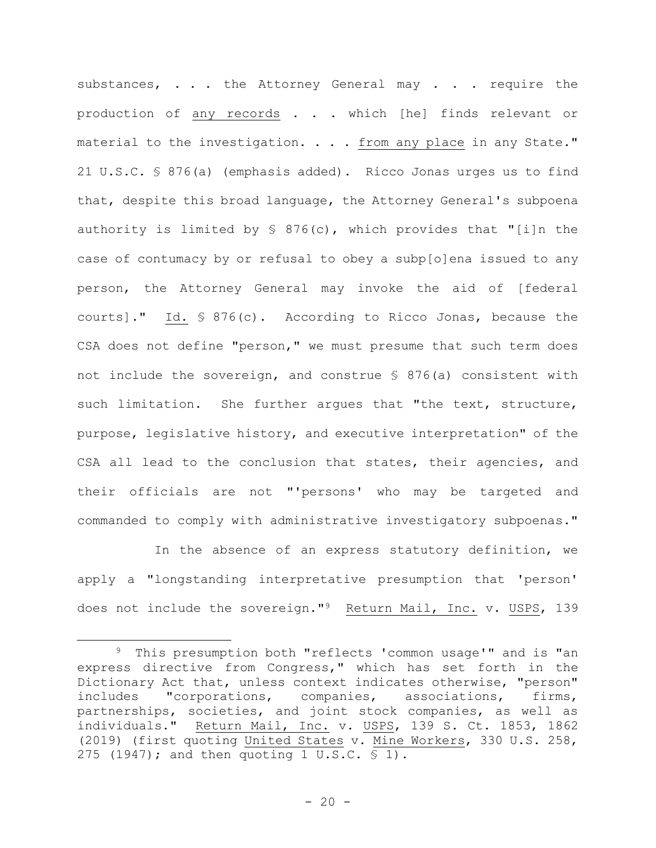substances, . . . the Attorney General may . . . require the production of any records . . . which [he] finds relevant or material to the investigation. . . . from any place in any State." 21 U.S.C. § 876(a) (emphasis added). Ricco Jonas urges us to find that, despite this broad language, the Attorney General's subpoena authority is limited by § 876(c), which provides that "[i]n the case of contumacy by or refusal to obey a subp[o]ena issued to any person, the Attorney General may invoke the aid of [federal courts]." Id. § 876(c). According to Ricco Jonas, because the CSA does not define "person," we must presume that such term does not include the sovereign, and construe § 876(a) consistent with such limitation. She further arques that "the text, structure, purpose, legislative history, and executive interpretation" of the CSA all lead to the conclusion that states, their agencies, and their officials are not "'persons' who may be targeted and commanded to comply with administrative investigatory subpoenas."

In the absence of an express statutory definition, we apply a "longstanding interpretative presumption that 'person' does not include the sovereign."9 Return Mail, Inc. v. USPS, 139

<sup>9</sup> This presumption both "reflects 'common usage'" and is "an express directive from Congress," which has set forth in the Dictionary Act that, unless context indicates otherwise, "person" includes "corporations, companies, associations, firms, partnerships, societies, and joint stock companies, as well as individuals." Return Mail, Inc. v. USPS, 139 S. Ct. 1853, 1862 (2019) (first quoting United States v. Mine Workers, 330 U.S. 258, 275 (1947); and then quoting 1 U.S.C. § 1).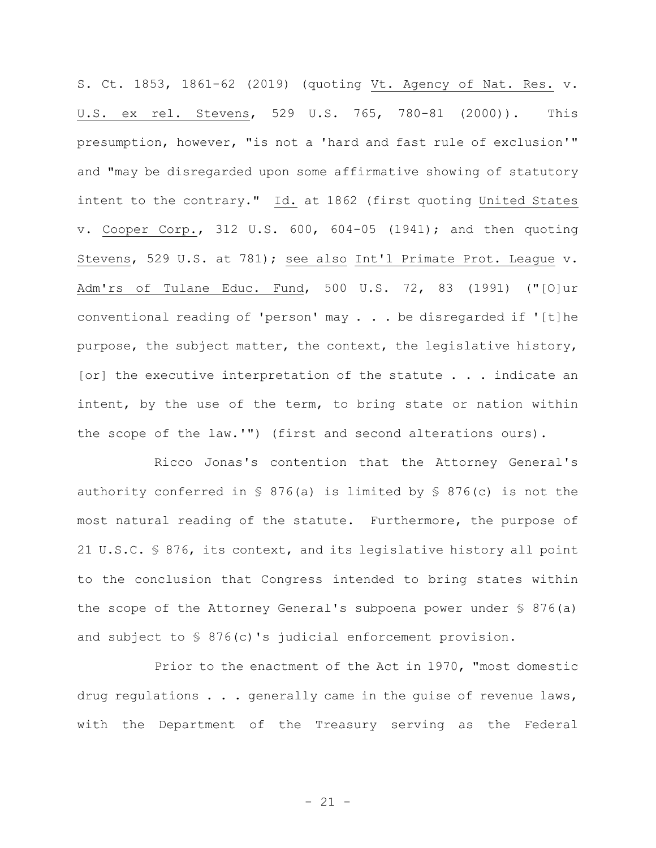S. Ct. 1853, 1861-62 (2019) (quoting Vt. Agency of Nat. Res. v. U.S. ex rel. Stevens, 529 U.S. 765, 780-81 (2000)). This presumption, however, "is not a 'hard and fast rule of exclusion'" and "may be disregarded upon some affirmative showing of statutory intent to the contrary." Id. at 1862 (first quoting United States v. Cooper Corp., 312 U.S. 600, 604-05 (1941); and then quoting Stevens, 529 U.S. at 781); see also Int'l Primate Prot. League v. Adm'rs of Tulane Educ. Fund, 500 U.S. 72, 83 (1991) ("[O]ur conventional reading of 'person' may . . . be disregarded if '[t]he purpose, the subject matter, the context, the legislative history, [or] the executive interpretation of the statute . . . indicate an intent, by the use of the term, to bring state or nation within the scope of the law.'") (first and second alterations ours).

Ricco Jonas's contention that the Attorney General's authority conferred in § 876(a) is limited by § 876(c) is not the most natural reading of the statute. Furthermore, the purpose of 21 U.S.C. § 876, its context, and its legislative history all point to the conclusion that Congress intended to bring states within the scope of the Attorney General's subpoena power under § 876(a) and subject to § 876(c)'s judicial enforcement provision.

Prior to the enactment of the Act in 1970, "most domestic drug regulations . . . generally came in the guise of revenue laws, with the Department of the Treasury serving as the Federal

 $- 21 -$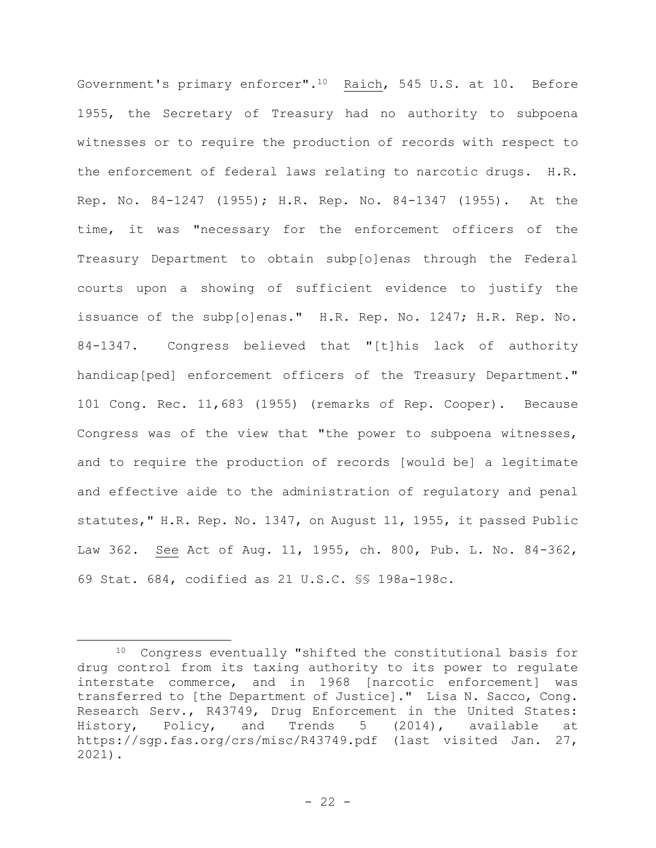Government's primary enforcer".10 Raich, 545 U.S. at 10. Before 1955, the Secretary of Treasury had no authority to subpoena witnesses or to require the production of records with respect to the enforcement of federal laws relating to narcotic drugs. H.R. Rep. No. 84-1247 (1955); H.R. Rep. No. 84-1347 (1955). At the time, it was "necessary for the enforcement officers of the Treasury Department to obtain subp[o]enas through the Federal courts upon a showing of sufficient evidence to justify the issuance of the subp[o]enas." H.R. Rep. No. 1247; H.R. Rep. No. 84-1347. Congress believed that "[t]his lack of authority handicap[ped] enforcement officers of the Treasury Department." 101 Cong. Rec. 11,683 (1955) (remarks of Rep. Cooper). Because Congress was of the view that "the power to subpoena witnesses, and to require the production of records [would be] a legitimate and effective aide to the administration of regulatory and penal statutes," H.R. Rep. No. 1347, on August 11, 1955, it passed Public Law 362. See Act of Aug. 11, 1955, ch. 800, Pub. L. No. 84-362, 69 Stat. 684, codified as 21 U.S.C. §§ 198a-198c.

<sup>10</sup> Congress eventually "shifted the constitutional basis for drug control from its taxing authority to its power to regulate interstate commerce, and in 1968 [narcotic enforcement] was transferred to [the Department of Justice]." Lisa N. Sacco, Cong. Research Serv., R43749, Drug Enforcement in the United States: History, Policy, and Trends 5 (2014), available at https://sgp.fas.org/crs/misc/R43749.pdf (last visited Jan. 27, 2021).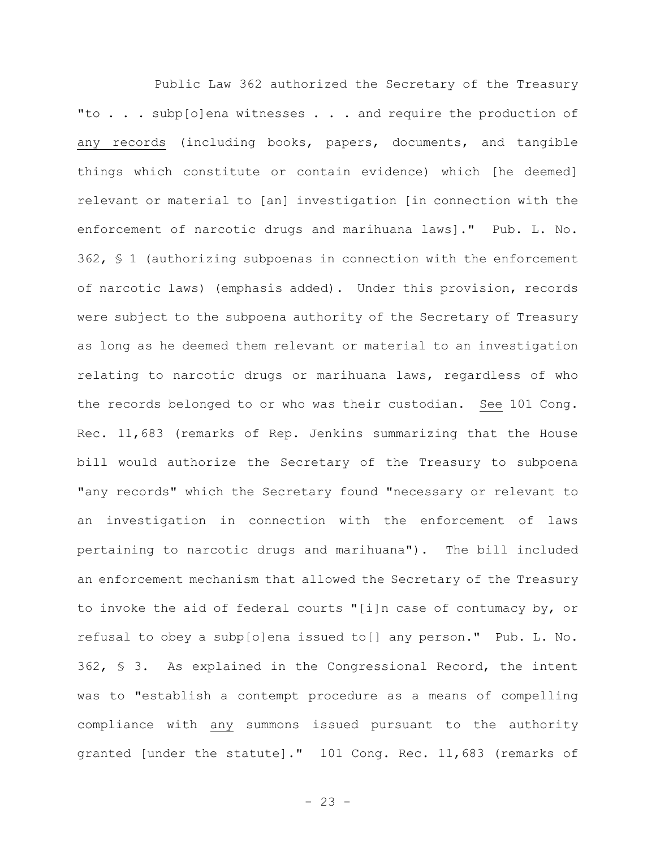Public Law 362 authorized the Secretary of the Treasury "to . . . subp[o]ena witnesses . . . and require the production of any records (including books, papers, documents, and tangible things which constitute or contain evidence) which [he deemed] relevant or material to [an] investigation [in connection with the enforcement of narcotic drugs and marihuana laws]." Pub. L. No. 362, § 1 (authorizing subpoenas in connection with the enforcement of narcotic laws) (emphasis added). Under this provision, records were subject to the subpoena authority of the Secretary of Treasury as long as he deemed them relevant or material to an investigation relating to narcotic drugs or marihuana laws, regardless of who the records belonged to or who was their custodian. See 101 Cong. Rec. 11,683 (remarks of Rep. Jenkins summarizing that the House bill would authorize the Secretary of the Treasury to subpoena "any records" which the Secretary found "necessary or relevant to an investigation in connection with the enforcement of laws pertaining to narcotic drugs and marihuana"). The bill included an enforcement mechanism that allowed the Secretary of the Treasury to invoke the aid of federal courts "[i]n case of contumacy by, or refusal to obey a subp[o]ena issued to[] any person." Pub. L. No. 362, § 3. As explained in the Congressional Record, the intent was to "establish a contempt procedure as a means of compelling compliance with any summons issued pursuant to the authority granted [under the statute]." 101 Cong. Rec. 11,683 (remarks of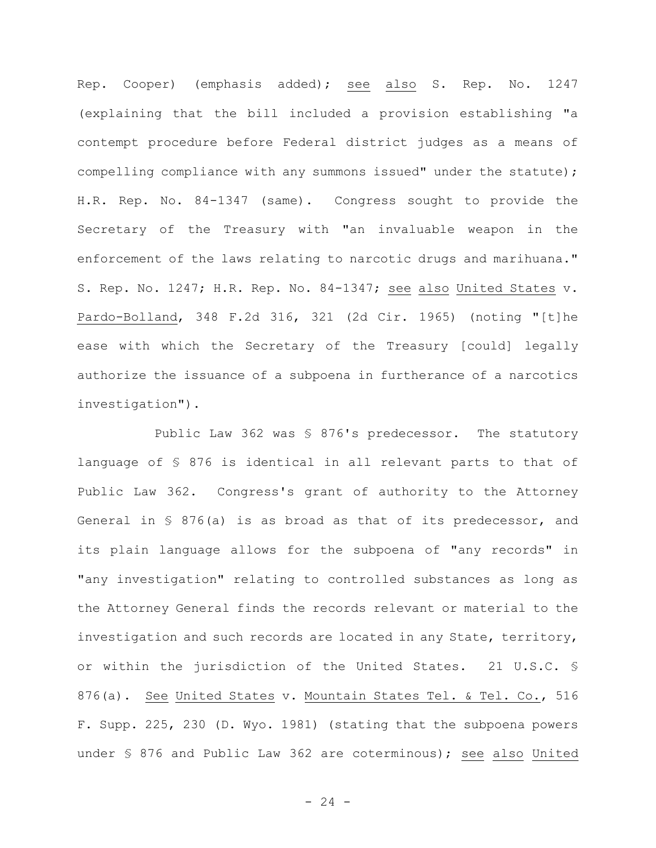Rep. Cooper) (emphasis added); see also S. Rep. No. 1247 (explaining that the bill included a provision establishing "a contempt procedure before Federal district judges as a means of compelling compliance with any summons issued" under the statute); H.R. Rep. No. 84-1347 (same). Congress sought to provide the Secretary of the Treasury with "an invaluable weapon in the enforcement of the laws relating to narcotic drugs and marihuana." S. Rep. No. 1247; H.R. Rep. No. 84-1347; see also United States v. Pardo-Bolland, 348 F.2d 316, 321 (2d Cir. 1965) (noting "[t]he ease with which the Secretary of the Treasury [could] legally authorize the issuance of a subpoena in furtherance of a narcotics investigation").

Public Law 362 was § 876's predecessor. The statutory language of § 876 is identical in all relevant parts to that of Public Law 362. Congress's grant of authority to the Attorney General in § 876(a) is as broad as that of its predecessor, and its plain language allows for the subpoena of "any records" in "any investigation" relating to controlled substances as long as the Attorney General finds the records relevant or material to the investigation and such records are located in any State, territory, or within the jurisdiction of the United States. 21 U.S.C. § 876(a). See United States v. Mountain States Tel. & Tel. Co., 516 F. Supp. 225, 230 (D. Wyo. 1981) (stating that the subpoena powers under § 876 and Public Law 362 are coterminous); see also United

 $- 24 -$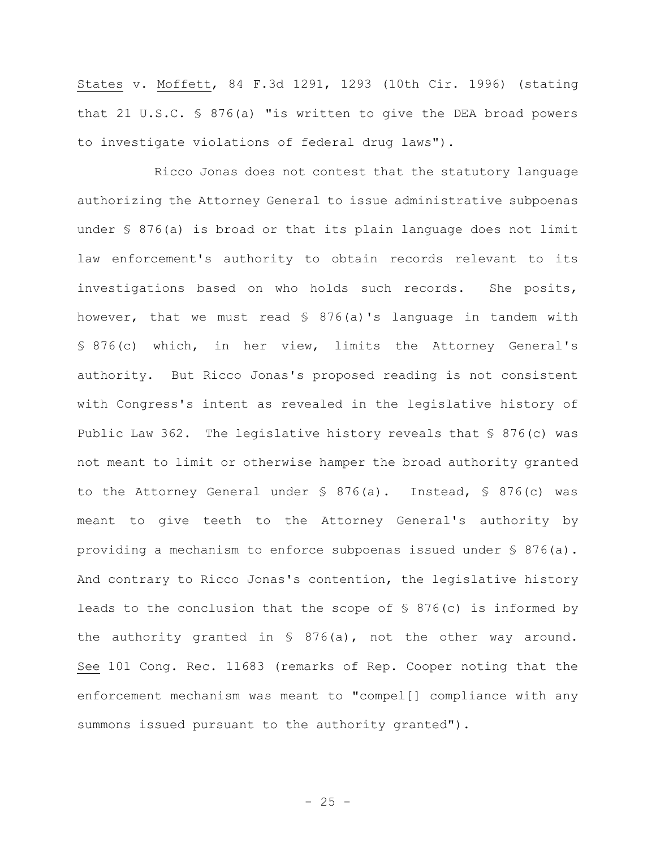States v. Moffett, 84 F.3d 1291, 1293 (10th Cir. 1996) (stating that 21 U.S.C. § 876(a) "is written to give the DEA broad powers to investigate violations of federal drug laws").

Ricco Jonas does not contest that the statutory language authorizing the Attorney General to issue administrative subpoenas under § 876(a) is broad or that its plain language does not limit law enforcement's authority to obtain records relevant to its investigations based on who holds such records. She posits, however, that we must read § 876(a)'s language in tandem with § 876(c) which, in her view, limits the Attorney General's authority. But Ricco Jonas's proposed reading is not consistent with Congress's intent as revealed in the legislative history of Public Law 362. The legislative history reveals that § 876(c) was not meant to limit or otherwise hamper the broad authority granted to the Attorney General under § 876(a). Instead, § 876(c) was meant to give teeth to the Attorney General's authority by providing a mechanism to enforce subpoenas issued under § 876(a). And contrary to Ricco Jonas's contention, the legislative history leads to the conclusion that the scope of § 876(c) is informed by the authority granted in § 876(a), not the other way around. See 101 Cong. Rec. 11683 (remarks of Rep. Cooper noting that the enforcement mechanism was meant to "compel[] compliance with any summons issued pursuant to the authority granted").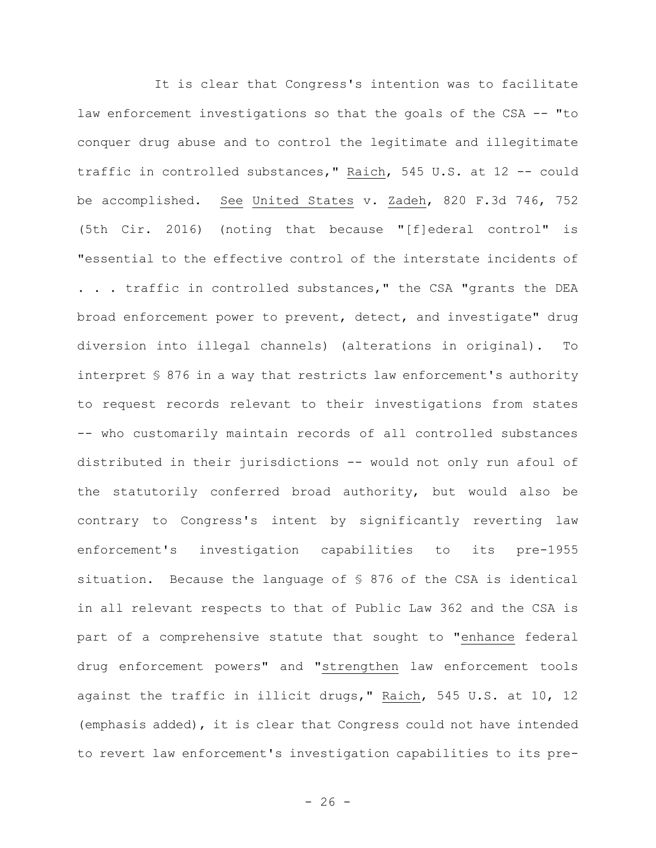It is clear that Congress's intention was to facilitate law enforcement investigations so that the goals of the CSA -- "to conquer drug abuse and to control the legitimate and illegitimate traffic in controlled substances," Raich, 545 U.S. at 12 -- could be accomplished. See United States v. Zadeh, 820 F.3d 746, 752 (5th Cir. 2016) (noting that because "[f]ederal control" is "essential to the effective control of the interstate incidents of . . . traffic in controlled substances," the CSA "grants the DEA broad enforcement power to prevent, detect, and investigate" drug diversion into illegal channels) (alterations in original). To interpret § 876 in a way that restricts law enforcement's authority to request records relevant to their investigations from states -- who customarily maintain records of all controlled substances distributed in their jurisdictions -- would not only run afoul of the statutorily conferred broad authority, but would also be contrary to Congress's intent by significantly reverting law enforcement's investigation capabilities to its pre-1955 situation. Because the language of § 876 of the CSA is identical in all relevant respects to that of Public Law 362 and the CSA is part of a comprehensive statute that sought to "enhance federal drug enforcement powers" and "strengthen law enforcement tools against the traffic in illicit drugs," Raich, 545 U.S. at 10, 12 (emphasis added), it is clear that Congress could not have intended to revert law enforcement's investigation capabilities to its pre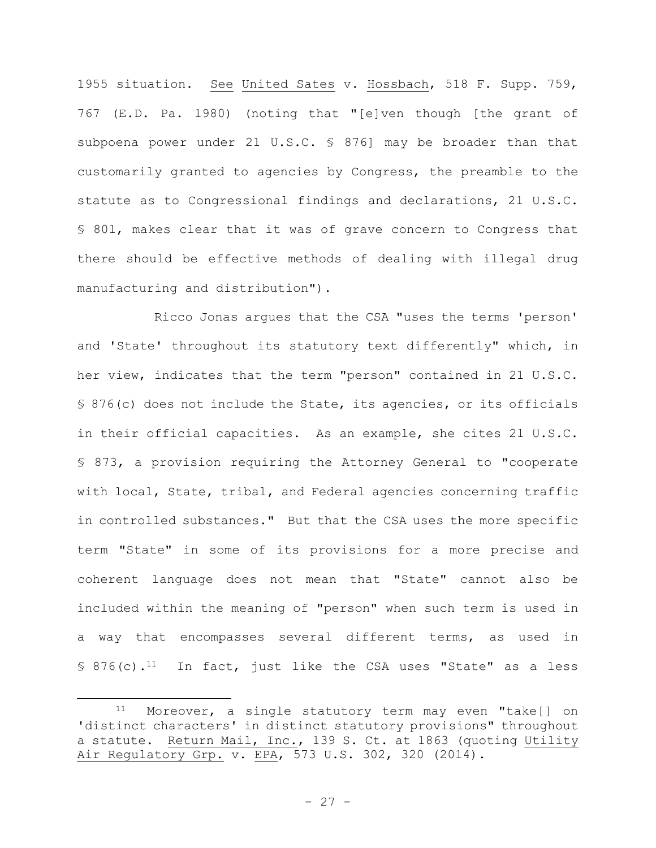1955 situation. See United Sates v. Hossbach, 518 F. Supp. 759, 767 (E.D. Pa. 1980) (noting that "[e]ven though [the grant of subpoena power under 21 U.S.C. § 876] may be broader than that customarily granted to agencies by Congress, the preamble to the statute as to Congressional findings and declarations, 21 U.S.C. § 801, makes clear that it was of grave concern to Congress that there should be effective methods of dealing with illegal drug manufacturing and distribution").

Ricco Jonas argues that the CSA "uses the terms 'person' and 'State' throughout its statutory text differently" which, in her view, indicates that the term "person" contained in 21 U.S.C. § 876(c) does not include the State, its agencies, or its officials in their official capacities. As an example, she cites 21 U.S.C. § 873, a provision requiring the Attorney General to "cooperate with local, State, tribal, and Federal agencies concerning traffic in controlled substances." But that the CSA uses the more specific term "State" in some of its provisions for a more precise and coherent language does not mean that "State" cannot also be included within the meaning of "person" when such term is used in a way that encompasses several different terms, as used in § 876(c).<sup>11</sup> In fact, just like the CSA uses "State" as a less

<sup>11</sup> Moreover, a single statutory term may even "take[] on 'distinct characters' in distinct statutory provisions" throughout a statute. Return Mail, Inc., 139 S. Ct. at 1863 (quoting Utility Air Regulatory Grp. v. EPA, 573 U.S. 302, 320 (2014).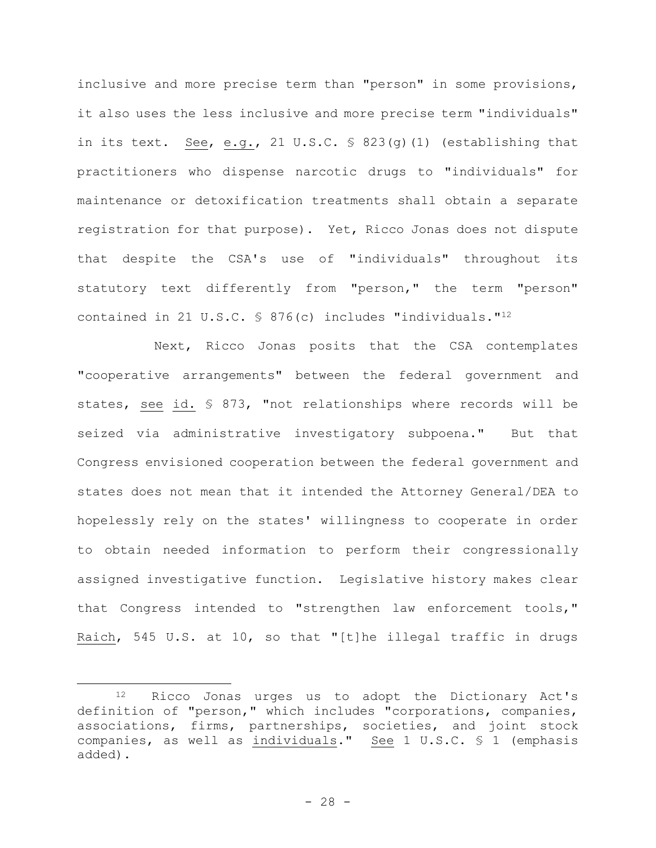inclusive and more precise term than "person" in some provisions, it also uses the less inclusive and more precise term "individuals" in its text. See, e.g., 21 U.S.C. § 823(g)(1) (establishing that practitioners who dispense narcotic drugs to "individuals" for maintenance or detoxification treatments shall obtain a separate registration for that purpose). Yet, Ricco Jonas does not dispute that despite the CSA's use of "individuals" throughout its statutory text differently from "person," the term "person" contained in 21 U.S.C. § 876(c) includes "individuals."<sup>12</sup>

Next, Ricco Jonas posits that the CSA contemplates "cooperative arrangements" between the federal government and states, see id. § 873, "not relationships where records will be seized via administrative investigatory subpoena." But that Congress envisioned cooperation between the federal government and states does not mean that it intended the Attorney General/DEA to hopelessly rely on the states' willingness to cooperate in order to obtain needed information to perform their congressionally assigned investigative function. Legislative history makes clear that Congress intended to "strengthen law enforcement tools," Raich, 545 U.S. at 10, so that "[t]he illegal traffic in drugs

<sup>12</sup> Ricco Jonas urges us to adopt the Dictionary Act's definition of "person," which includes "corporations, companies, associations, firms, partnerships, societies, and joint stock companies, as well as individuals." See 1 U.S.C. § 1 (emphasis added).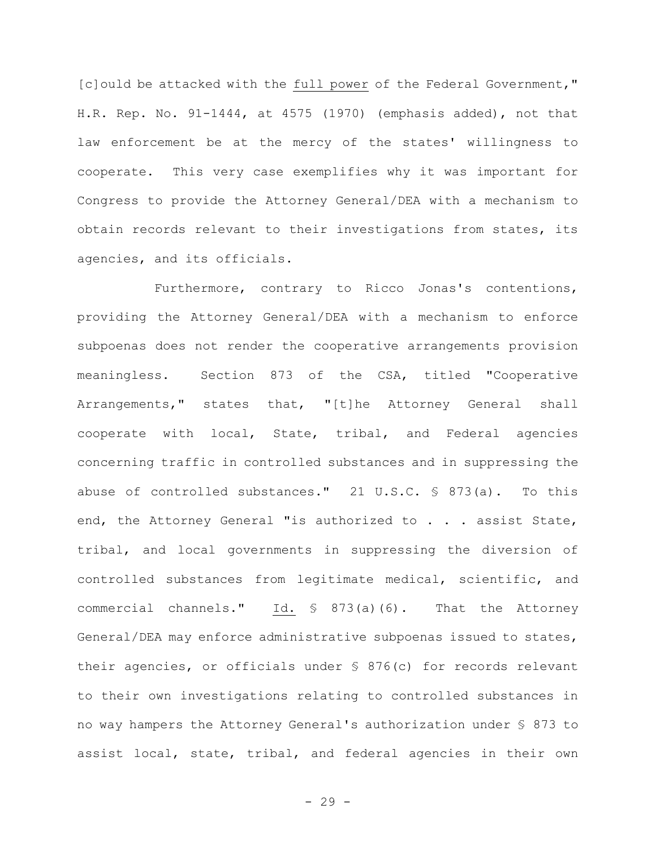[c]ould be attacked with the full power of the Federal Government," H.R. Rep. No. 91-1444, at 4575 (1970) (emphasis added), not that law enforcement be at the mercy of the states' willingness to cooperate. This very case exemplifies why it was important for Congress to provide the Attorney General/DEA with a mechanism to obtain records relevant to their investigations from states, its agencies, and its officials.

Furthermore, contrary to Ricco Jonas's contentions, providing the Attorney General/DEA with a mechanism to enforce subpoenas does not render the cooperative arrangements provision meaningless. Section 873 of the CSA, titled "Cooperative Arrangements," states that, "[t]he Attorney General shall cooperate with local, State, tribal, and Federal agencies concerning traffic in controlled substances and in suppressing the abuse of controlled substances." 21 U.S.C. § 873(a). To this end, the Attorney General "is authorized to . . . assist State, tribal, and local governments in suppressing the diversion of controlled substances from legitimate medical, scientific, and commercial channels." Id. § 873(a)(6). That the Attorney General/DEA may enforce administrative subpoenas issued to states, their agencies, or officials under § 876(c) for records relevant to their own investigations relating to controlled substances in no way hampers the Attorney General's authorization under § 873 to assist local, state, tribal, and federal agencies in their own

- 29 -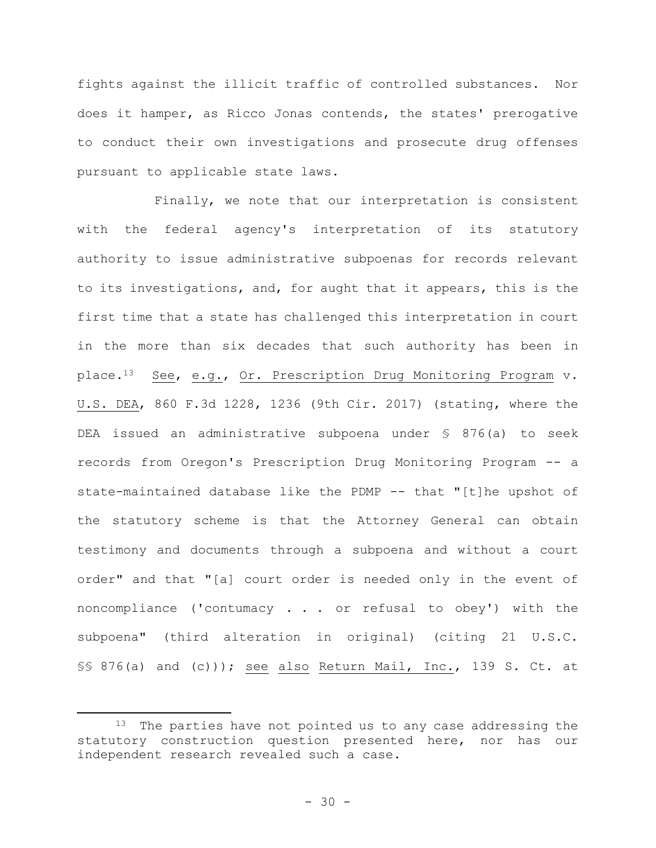fights against the illicit traffic of controlled substances. Nor does it hamper, as Ricco Jonas contends, the states' prerogative to conduct their own investigations and prosecute drug offenses pursuant to applicable state laws.

Finally, we note that our interpretation is consistent with the federal agency's interpretation of its statutory authority to issue administrative subpoenas for records relevant to its investigations, and, for aught that it appears, this is the first time that a state has challenged this interpretation in court in the more than six decades that such authority has been in place.13 See, e.g., Or. Prescription Drug Monitoring Program v. U.S. DEA, 860 F.3d 1228, 1236 (9th Cir. 2017) (stating, where the DEA issued an administrative subpoena under § 876(a) to seek records from Oregon's Prescription Drug Monitoring Program -- a state-maintained database like the PDMP -- that "[t]he upshot of the statutory scheme is that the Attorney General can obtain testimony and documents through a subpoena and without a court order" and that "[a] court order is needed only in the event of noncompliance ('contumacy . . . or refusal to obey') with the subpoena" (third alteration in original) (citing 21 U.S.C. §§ 876(a) and (c))); see also Return Mail, Inc., 139 S. Ct. at

<sup>&</sup>lt;sup>13</sup> The parties have not pointed us to any case addressing the statutory construction question presented here, nor has our independent research revealed such a case.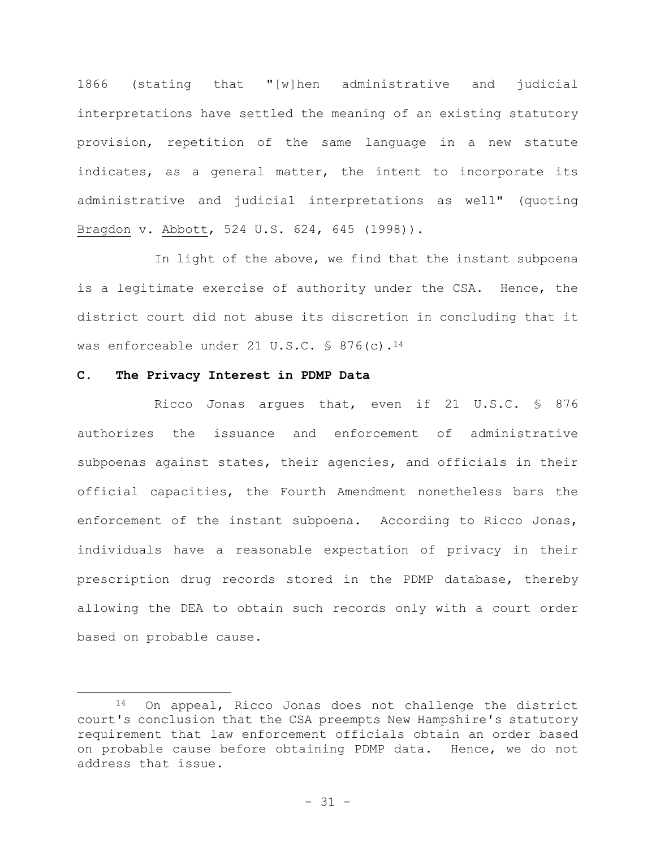1866 (stating that "[w]hen administrative and judicial interpretations have settled the meaning of an existing statutory provision, repetition of the same language in a new statute indicates, as a general matter, the intent to incorporate its administrative and judicial interpretations as well" (quoting Bragdon v. Abbott, 524 U.S. 624, 645 (1998)).

In light of the above, we find that the instant subpoena is a legitimate exercise of authority under the CSA. Hence, the district court did not abuse its discretion in concluding that it was enforceable under 21 U.S.C. § 876(c).<sup>14</sup>

#### **C. The Privacy Interest in PDMP Data**

Ricco Jonas argues that, even if 21 U.S.C. § 876 authorizes the issuance and enforcement of administrative subpoenas against states, their agencies, and officials in their official capacities, the Fourth Amendment nonetheless bars the enforcement of the instant subpoena. According to Ricco Jonas, individuals have a reasonable expectation of privacy in their prescription drug records stored in the PDMP database, thereby allowing the DEA to obtain such records only with a court order based on probable cause.

<sup>14</sup> On appeal, Ricco Jonas does not challenge the district court's conclusion that the CSA preempts New Hampshire's statutory requirement that law enforcement officials obtain an order based on probable cause before obtaining PDMP data. Hence, we do not address that issue.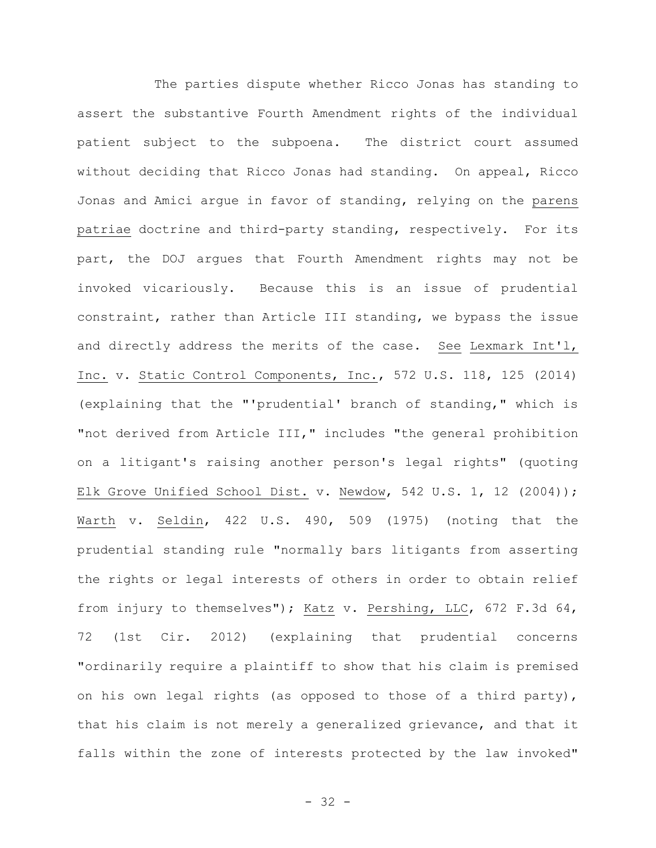The parties dispute whether Ricco Jonas has standing to assert the substantive Fourth Amendment rights of the individual patient subject to the subpoena. The district court assumed without deciding that Ricco Jonas had standing. On appeal, Ricco Jonas and Amici argue in favor of standing, relying on the parens patriae doctrine and third-party standing, respectively. For its part, the DOJ argues that Fourth Amendment rights may not be invoked vicariously. Because this is an issue of prudential constraint, rather than Article III standing, we bypass the issue and directly address the merits of the case. See Lexmark Int'l, Inc. v. Static Control Components, Inc., 572 U.S. 118, 125 (2014) (explaining that the "'prudential' branch of standing," which is "not derived from Article III," includes "the general prohibition on a litigant's raising another person's legal rights" (quoting Elk Grove Unified School Dist. v. Newdow, 542 U.S. 1, 12 (2004)); Warth v. Seldin, 422 U.S. 490, 509 (1975) (noting that the prudential standing rule "normally bars litigants from asserting the rights or legal interests of others in order to obtain relief from injury to themselves"); Katz v. Pershing, LLC, 672 F.3d 64, 72 (1st Cir. 2012) (explaining that prudential concerns "ordinarily require a plaintiff to show that his claim is premised on his own legal rights (as opposed to those of a third party), that his claim is not merely a generalized grievance, and that it falls within the zone of interests protected by the law invoked"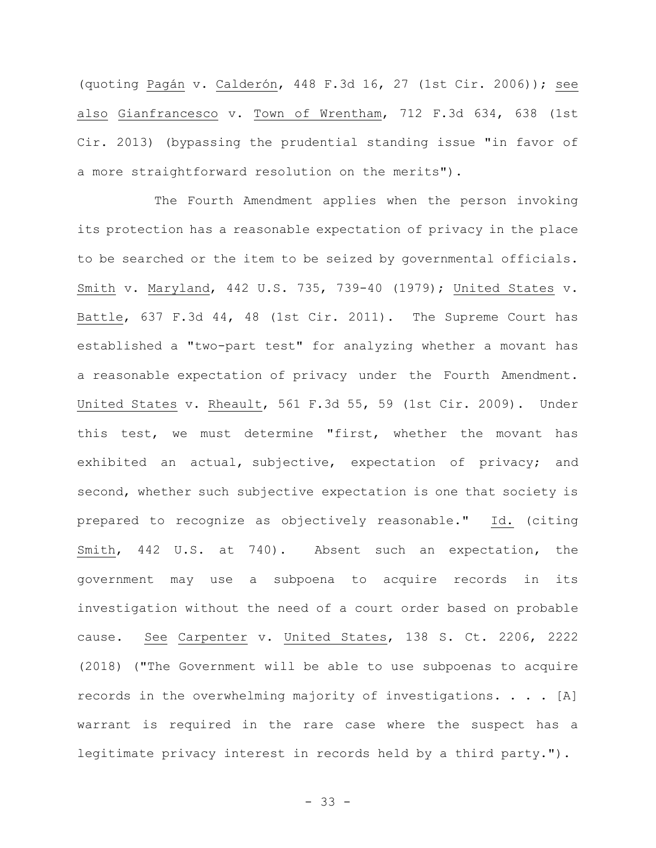(quoting Pagán v. Calderón, 448 F.3d 16, 27 (1st Cir. 2006)); see also Gianfrancesco v. Town of Wrentham, 712 F.3d 634, 638 (1st Cir. 2013) (bypassing the prudential standing issue "in favor of a more straightforward resolution on the merits").

The Fourth Amendment applies when the person invoking its protection has a reasonable expectation of privacy in the place to be searched or the item to be seized by governmental officials. Smith v. Maryland, 442 U.S. 735, 739-40 (1979); United States v. Battle, 637 F.3d 44, 48 (1st Cir. 2011). The Supreme Court has established a "two-part test" for analyzing whether a movant has a reasonable expectation of privacy under the Fourth Amendment. United States v. Rheault, 561 F.3d 55, 59 (1st Cir. 2009). Under this test, we must determine "first, whether the movant has exhibited an actual, subjective, expectation of privacy; and second, whether such subjective expectation is one that society is prepared to recognize as objectively reasonable." Id. (citing Smith, 442 U.S. at 740). Absent such an expectation, the government may use a subpoena to acquire records in its investigation without the need of a court order based on probable cause. See Carpenter v. United States, 138 S. Ct. 2206, 2222 (2018) ("The Government will be able to use subpoenas to acquire records in the overwhelming majority of investigations. . . . [A] warrant is required in the rare case where the suspect has a legitimate privacy interest in records held by a third party.").

- 33 -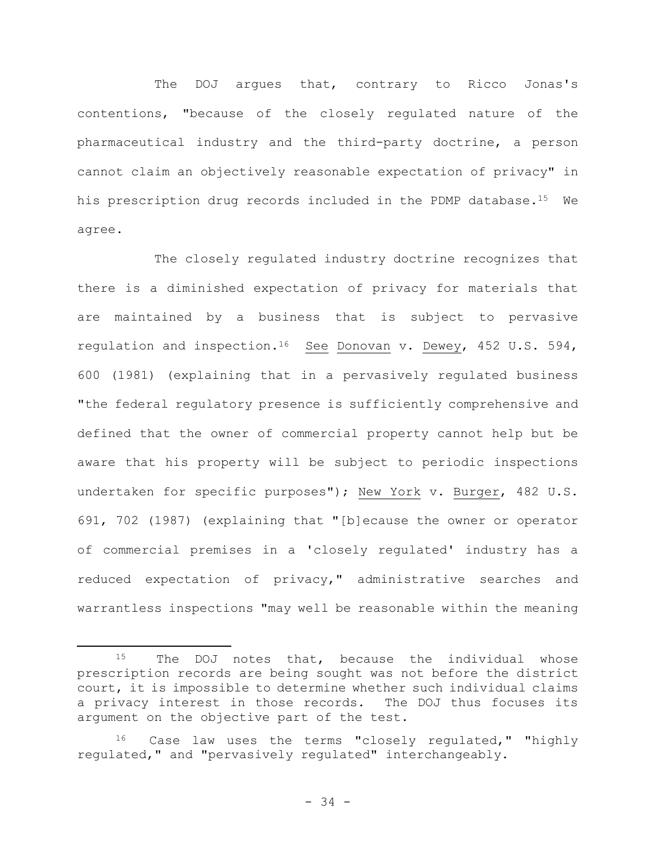The DOJ arques that, contrary to Ricco Jonas's contentions, "because of the closely regulated nature of the pharmaceutical industry and the third-party doctrine, a person cannot claim an objectively reasonable expectation of privacy" in his prescription drug records included in the PDMP database.<sup>15</sup> We agree.

The closely regulated industry doctrine recognizes that there is a diminished expectation of privacy for materials that are maintained by a business that is subject to pervasive regulation and inspection.<sup>16</sup> See Donovan v. Dewey, 452 U.S. 594, 600 (1981) (explaining that in a pervasively regulated business "the federal regulatory presence is sufficiently comprehensive and defined that the owner of commercial property cannot help but be aware that his property will be subject to periodic inspections undertaken for specific purposes"); New York v. Burger, 482 U.S. 691, 702 (1987) (explaining that "[b]ecause the owner or operator of commercial premises in a 'closely regulated' industry has a reduced expectation of privacy," administrative searches and warrantless inspections "may well be reasonable within the meaning

<sup>15</sup> The DOJ notes that, because the individual whose prescription records are being sought was not before the district court, it is impossible to determine whether such individual claims a privacy interest in those records. The DOJ thus focuses its argument on the objective part of the test.

Case law uses the terms "closely regulated," "highly regulated," and "pervasively regulated" interchangeably.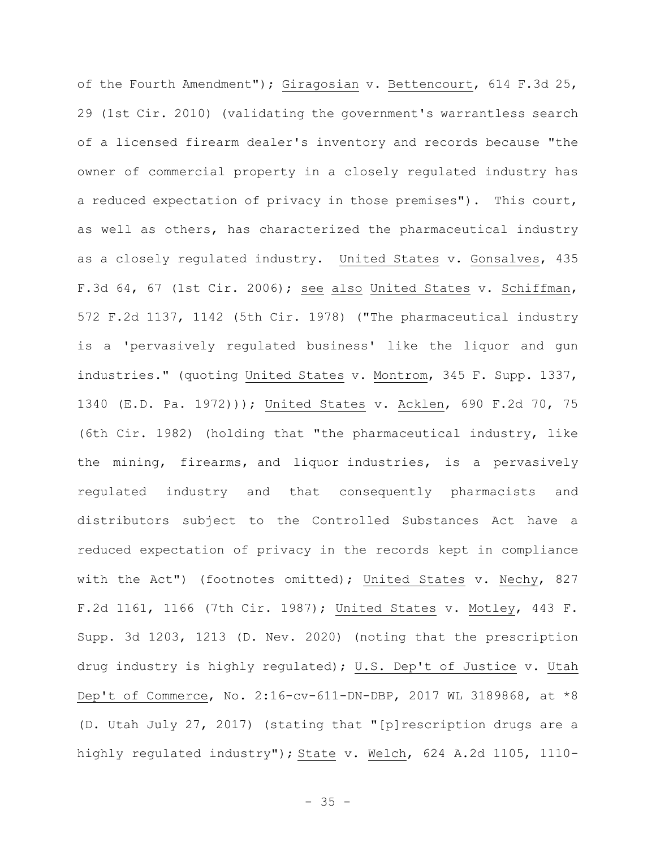of the Fourth Amendment"); Giragosian v. Bettencourt, 614 F.3d 25, 29 (1st Cir. 2010) (validating the government's warrantless search of a licensed firearm dealer's inventory and records because "the owner of commercial property in a closely regulated industry has a reduced expectation of privacy in those premises"). This court, as well as others, has characterized the pharmaceutical industry as a closely regulated industry. United States v. Gonsalves, 435 F.3d 64, 67 (1st Cir. 2006); see also United States v. Schiffman, 572 F.2d 1137, 1142 (5th Cir. 1978) ("The pharmaceutical industry is a 'pervasively regulated business' like the liquor and gun industries." (quoting United States v. Montrom, 345 F. Supp. 1337, 1340 (E.D. Pa. 1972))); United States v. Acklen, 690 F.2d 70, 75 (6th Cir. 1982) (holding that "the pharmaceutical industry, like the mining, firearms, and liquor industries, is a pervasively regulated industry and that consequently pharmacists and distributors subject to the Controlled Substances Act have a reduced expectation of privacy in the records kept in compliance with the Act") (footnotes omitted); United States v. Nechy, 827 F.2d 1161, 1166 (7th Cir. 1987); United States v. Motley, 443 F. Supp. 3d 1203, 1213 (D. Nev. 2020) (noting that the prescription drug industry is highly regulated); U.S. Dep't of Justice v. Utah Dep't of Commerce, No. 2:16-cv-611-DN-DBP, 2017 WL 3189868, at \*8 (D. Utah July 27, 2017) (stating that "[p]rescription drugs are a highly regulated industry"); State v. Welch, 624 A.2d 1105, 1110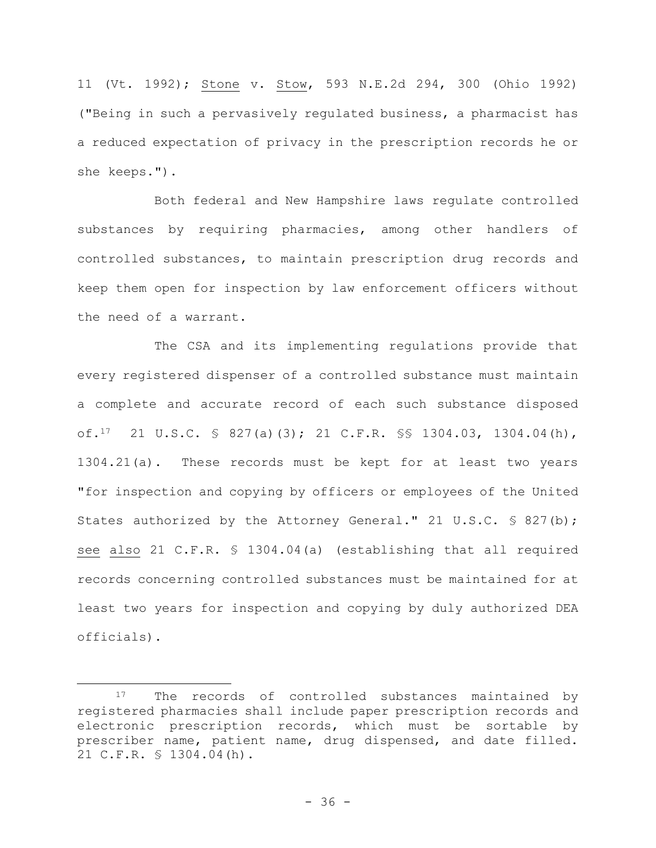11 (Vt. 1992); Stone v. Stow, 593 N.E.2d 294, 300 (Ohio 1992) ("Being in such a pervasively regulated business, a pharmacist has a reduced expectation of privacy in the prescription records he or she keeps.").

Both federal and New Hampshire laws regulate controlled substances by requiring pharmacies, among other handlers of controlled substances, to maintain prescription drug records and keep them open for inspection by law enforcement officers without the need of a warrant.

The CSA and its implementing regulations provide that every registered dispenser of a controlled substance must maintain a complete and accurate record of each such substance disposed of.17 21 U.S.C. § 827(a)(3); 21 C.F.R. §§ 1304.03, 1304.04(h), 1304.21(a). These records must be kept for at least two years "for inspection and copying by officers or employees of the United States authorized by the Attorney General." 21 U.S.C. § 827(b); see also 21 C.F.R. § 1304.04(a) (establishing that all required records concerning controlled substances must be maintained for at least two years for inspection and copying by duly authorized DEA officials).

<sup>&</sup>lt;sup>17</sup> The records of controlled substances maintained by registered pharmacies shall include paper prescription records and electronic prescription records, which must be sortable by prescriber name, patient name, drug dispensed, and date filled. 21 C.F.R. § 1304.04(h).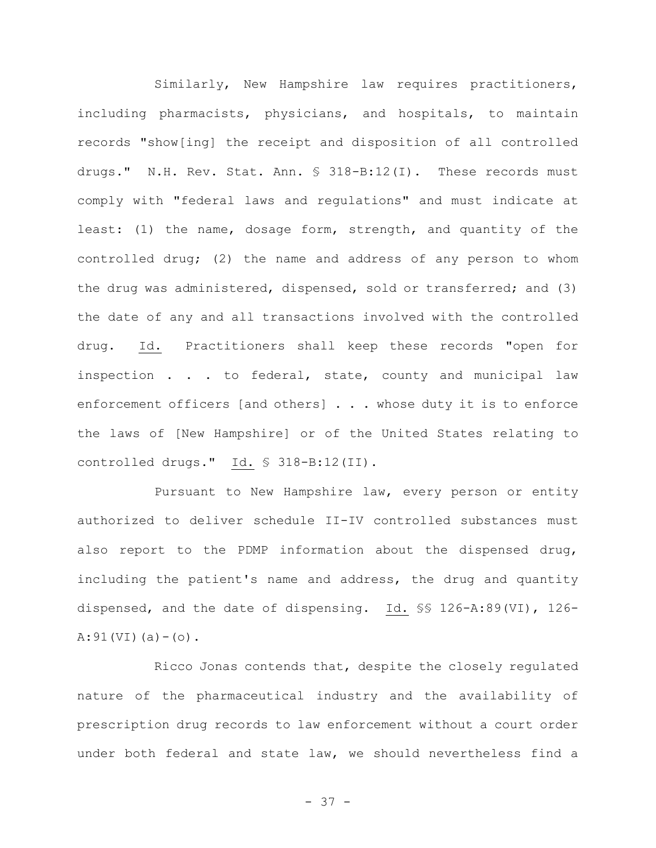Similarly, New Hampshire law requires practitioners, including pharmacists, physicians, and hospitals, to maintain records "show[ing] the receipt and disposition of all controlled drugs." N.H. Rev. Stat. Ann. § 318-B:12(I). These records must comply with "federal laws and regulations" and must indicate at least: (1) the name, dosage form, strength, and quantity of the controlled drug; (2) the name and address of any person to whom the drug was administered, dispensed, sold or transferred; and (3) the date of any and all transactions involved with the controlled drug. Id. Practitioners shall keep these records "open for inspection . . . to federal, state, county and municipal law enforcement officers [and others] . . . whose duty it is to enforce the laws of [New Hampshire] or of the United States relating to controlled drugs." Id. § 318-B:12(II).

Pursuant to New Hampshire law, every person or entity authorized to deliver schedule II-IV controlled substances must also report to the PDMP information about the dispensed drug, including the patient's name and address, the drug and quantity dispensed, and the date of dispensing. Id. §§ 126-A:89(VI), 126-  $A:91(VI)(a)-(o)$ .

Ricco Jonas contends that, despite the closely regulated nature of the pharmaceutical industry and the availability of prescription drug records to law enforcement without a court order under both federal and state law, we should nevertheless find a

- 37 -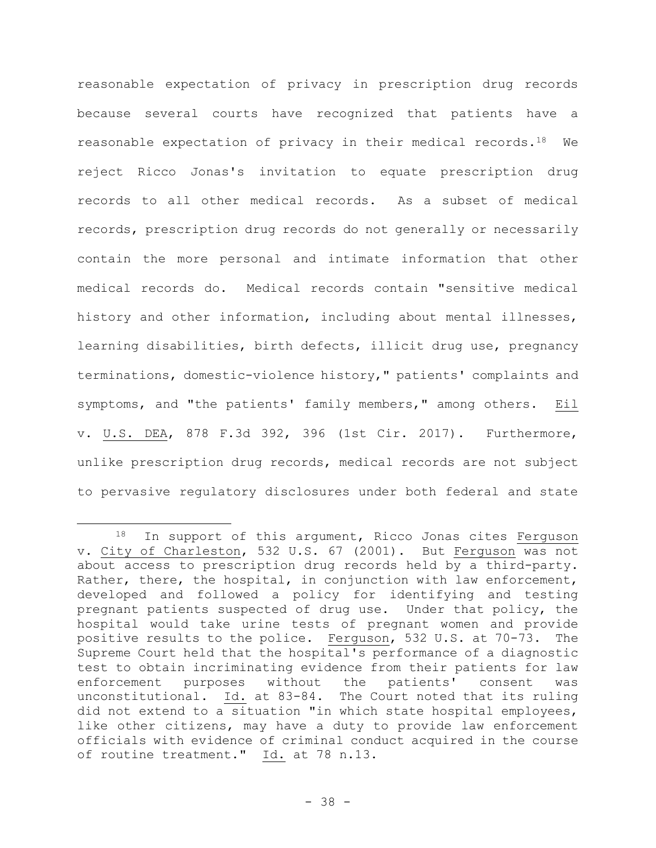reasonable expectation of privacy in prescription drug records because several courts have recognized that patients have a reasonable expectation of privacy in their medical records.18 We reject Ricco Jonas's invitation to equate prescription drug records to all other medical records. As a subset of medical records, prescription drug records do not generally or necessarily contain the more personal and intimate information that other medical records do. Medical records contain "sensitive medical history and other information, including about mental illnesses, learning disabilities, birth defects, illicit drug use, pregnancy terminations, domestic-violence history," patients' complaints and symptoms, and "the patients' family members," among others. Eil v. U.S. DEA, 878 F.3d 392, 396 (1st Cir. 2017). Furthermore, unlike prescription drug records, medical records are not subject to pervasive regulatory disclosures under both federal and state

<sup>18</sup> In support of this argument, Ricco Jonas cites Ferguson v. City of Charleston, 532 U.S. 67 (2001). But Ferguson was not about access to prescription drug records held by a third-party. Rather, there, the hospital, in conjunction with law enforcement, developed and followed a policy for identifying and testing pregnant patients suspected of drug use. Under that policy, the hospital would take urine tests of pregnant women and provide positive results to the police. Ferguson, 532 U.S. at 70-73. The Supreme Court held that the hospital's performance of a diagnostic test to obtain incriminating evidence from their patients for law enforcement purposes without the patients' consent was unconstitutional. Id. at 83-84. The Court noted that its ruling did not extend to a situation "in which state hospital employees, like other citizens, may have a duty to provide law enforcement officials with evidence of criminal conduct acquired in the course of routine treatment." Id. at 78 n.13.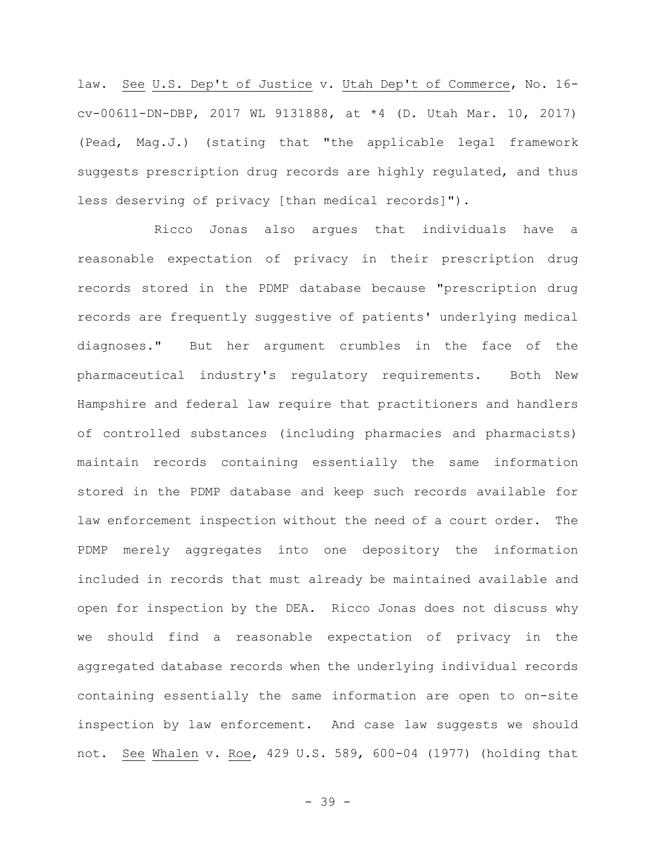law. See U.S. Dep't of Justice v. Utah Dep't of Commerce, No. 16 cv-00611-DN-DBP, 2017 WL 9131888, at \*4 (D. Utah Mar. 10, 2017) (Pead, Mag.J.) (stating that "the applicable legal framework suggests prescription drug records are highly regulated, and thus less deserving of privacy [than medical records]").

Ricco Jonas also argues that individuals have a reasonable expectation of privacy in their prescription drug records stored in the PDMP database because "prescription drug records are frequently suggestive of patients' underlying medical diagnoses." But her argument crumbles in the face of the pharmaceutical industry's regulatory requirements. Both New Hampshire and federal law require that practitioners and handlers of controlled substances (including pharmacies and pharmacists) maintain records containing essentially the same information stored in the PDMP database and keep such records available for law enforcement inspection without the need of a court order. The PDMP merely aggregates into one depository the information included in records that must already be maintained available and open for inspection by the DEA. Ricco Jonas does not discuss why we should find a reasonable expectation of privacy in the aggregated database records when the underlying individual records containing essentially the same information are open to on-site inspection by law enforcement. And case law suggests we should not. See Whalen v. Roe, 429 U.S. 589, 600-04 (1977) (holding that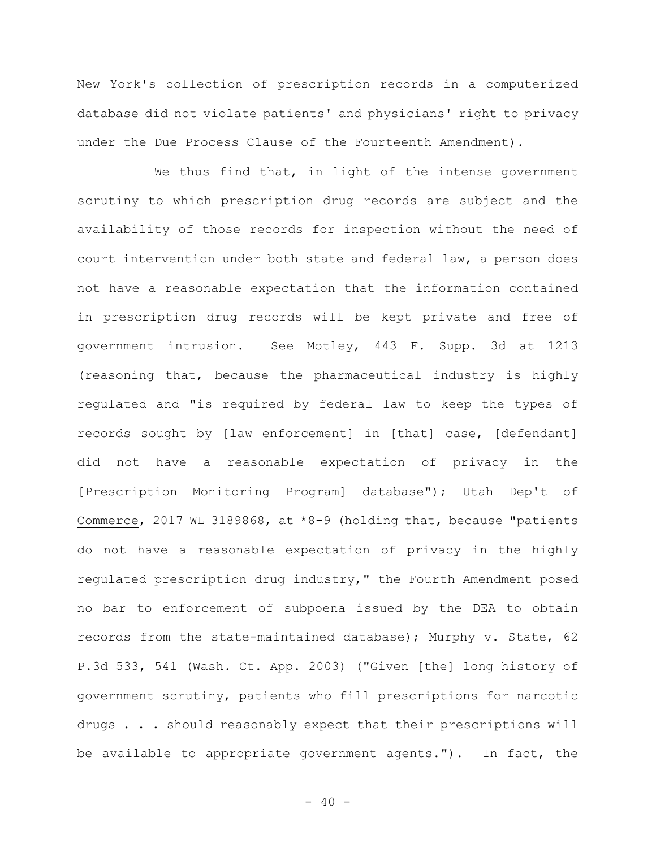New York's collection of prescription records in a computerized database did not violate patients' and physicians' right to privacy under the Due Process Clause of the Fourteenth Amendment).

We thus find that, in light of the intense government scrutiny to which prescription drug records are subject and the availability of those records for inspection without the need of court intervention under both state and federal law, a person does not have a reasonable expectation that the information contained in prescription drug records will be kept private and free of government intrusion. See Motley, 443 F. Supp. 3d at 1213 (reasoning that, because the pharmaceutical industry is highly regulated and "is required by federal law to keep the types of records sought by [law enforcement] in [that] case, [defendant] did not have a reasonable expectation of privacy in the [Prescription Monitoring Program] database"); Utah Dep't of Commerce, 2017 WL 3189868, at \*8-9 (holding that, because "patients do not have a reasonable expectation of privacy in the highly regulated prescription drug industry," the Fourth Amendment posed no bar to enforcement of subpoena issued by the DEA to obtain records from the state-maintained database); Murphy v. State, 62 P.3d 533, 541 (Wash. Ct. App. 2003) ("Given [the] long history of government scrutiny, patients who fill prescriptions for narcotic drugs . . . should reasonably expect that their prescriptions will be available to appropriate government agents."). In fact, the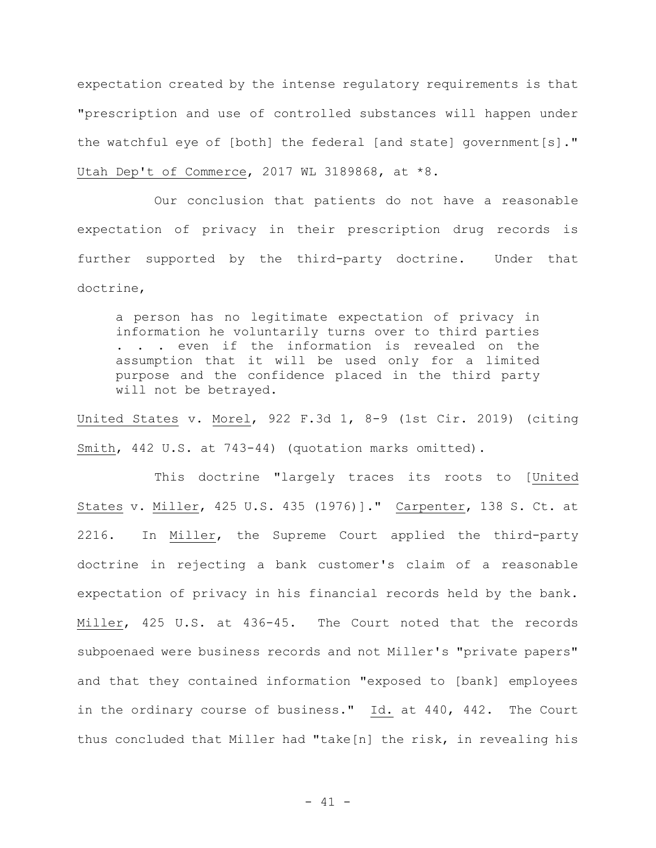expectation created by the intense regulatory requirements is that "prescription and use of controlled substances will happen under the watchful eye of [both] the federal [and state] government[s]." Utah Dep't of Commerce, 2017 WL 3189868, at \*8.

Our conclusion that patients do not have a reasonable expectation of privacy in their prescription drug records is further supported by the third-party doctrine. Under that doctrine,

a person has no legitimate expectation of privacy in information he voluntarily turns over to third parties . . . even if the information is revealed on the assumption that it will be used only for a limited purpose and the confidence placed in the third party will not be betrayed.

United States v. Morel, 922 F.3d 1, 8-9 (1st Cir. 2019) (citing Smith, 442 U.S. at 743-44) (quotation marks omitted).

This doctrine "largely traces its roots to [United States v. Miller, 425 U.S. 435 (1976)]." Carpenter, 138 S. Ct. at 2216. In Miller, the Supreme Court applied the third-party doctrine in rejecting a bank customer's claim of a reasonable expectation of privacy in his financial records held by the bank. Miller, 425 U.S. at 436-45. The Court noted that the records subpoenaed were business records and not Miller's "private papers" and that they contained information "exposed to [bank] employees in the ordinary course of business." Id. at 440, 442. The Court thus concluded that Miller had "take[n] the risk, in revealing his

 $- 41 -$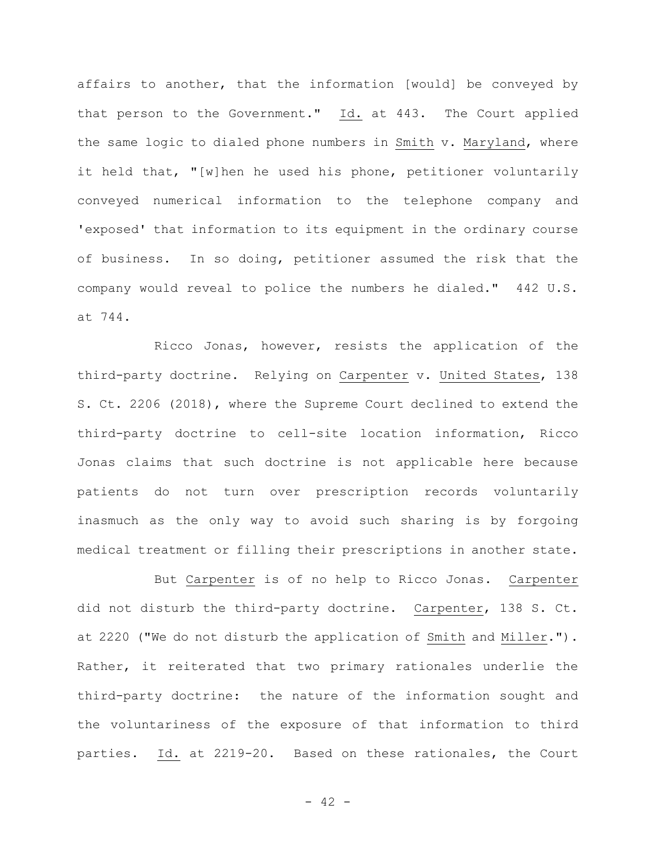affairs to another, that the information [would] be conveyed by that person to the Government." Id. at 443. The Court applied the same logic to dialed phone numbers in Smith v. Maryland, where it held that, "[w]hen he used his phone, petitioner voluntarily conveyed numerical information to the telephone company and 'exposed' that information to its equipment in the ordinary course of business. In so doing, petitioner assumed the risk that the company would reveal to police the numbers he dialed." 442 U.S. at 744.

Ricco Jonas, however, resists the application of the third-party doctrine. Relying on Carpenter v. United States, 138 S. Ct. 2206 (2018), where the Supreme Court declined to extend the third-party doctrine to cell-site location information, Ricco Jonas claims that such doctrine is not applicable here because patients do not turn over prescription records voluntarily inasmuch as the only way to avoid such sharing is by forgoing medical treatment or filling their prescriptions in another state.

But Carpenter is of no help to Ricco Jonas. Carpenter did not disturb the third-party doctrine. Carpenter, 138 S. Ct. at 2220 ("We do not disturb the application of Smith and Miller."). Rather, it reiterated that two primary rationales underlie the third-party doctrine: the nature of the information sought and the voluntariness of the exposure of that information to third parties. Id. at 2219-20. Based on these rationales, the Court

 $- 42 -$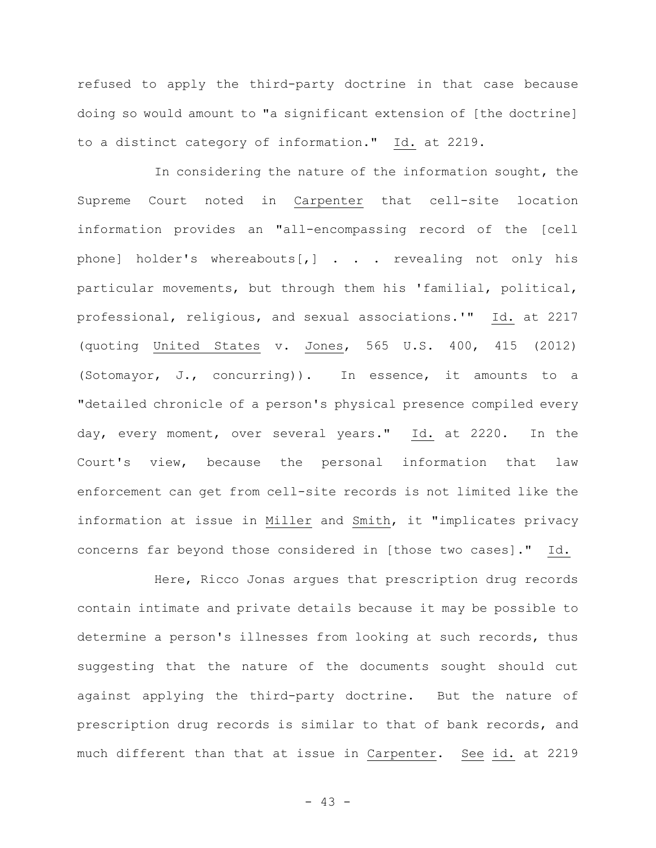refused to apply the third-party doctrine in that case because doing so would amount to "a significant extension of [the doctrine] to a distinct category of information." Id. at 2219.

In considering the nature of the information sought, the Supreme Court noted in Carpenter that cell-site location information provides an "all-encompassing record of the [cell phone] holder's whereabouts[,] . . . revealing not only his particular movements, but through them his 'familial, political, professional, religious, and sexual associations.'" Id. at 2217 (quoting United States v. Jones, 565 U.S. 400, 415 (2012) (Sotomayor, J., concurring)). In essence, it amounts to a "detailed chronicle of a person's physical presence compiled every day, every moment, over several years." Id. at 2220. In the Court's view, because the personal information that law enforcement can get from cell-site records is not limited like the information at issue in Miller and Smith, it "implicates privacy concerns far beyond those considered in [those two cases]." Id.

Here, Ricco Jonas argues that prescription drug records contain intimate and private details because it may be possible to determine a person's illnesses from looking at such records, thus suggesting that the nature of the documents sought should cut against applying the third-party doctrine. But the nature of prescription drug records is similar to that of bank records, and much different than that at issue in Carpenter. See id. at 2219

- 43 -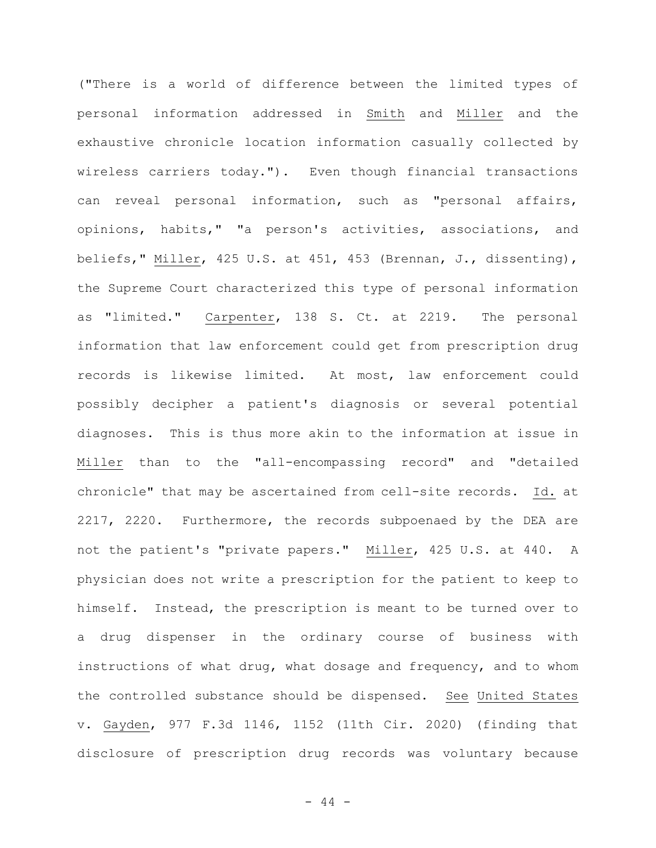("There is a world of difference between the limited types of personal information addressed in Smith and Miller and the exhaustive chronicle location information casually collected by wireless carriers today."). Even though financial transactions can reveal personal information, such as "personal affairs, opinions, habits," "a person's activities, associations, and beliefs," Miller, 425 U.S. at 451, 453 (Brennan, J., dissenting), the Supreme Court characterized this type of personal information as "limited." Carpenter, 138 S. Ct. at 2219. The personal information that law enforcement could get from prescription drug records is likewise limited. At most, law enforcement could possibly decipher a patient's diagnosis or several potential diagnoses. This is thus more akin to the information at issue in Miller than to the "all-encompassing record" and "detailed chronicle" that may be ascertained from cell-site records. Id. at 2217, 2220. Furthermore, the records subpoenaed by the DEA are not the patient's "private papers." Miller, 425 U.S. at 440. A physician does not write a prescription for the patient to keep to himself. Instead, the prescription is meant to be turned over to a drug dispenser in the ordinary course of business with instructions of what drug, what dosage and frequency, and to whom the controlled substance should be dispensed. See United States v. Gayden, 977 F.3d 1146, 1152 (11th Cir. 2020) (finding that disclosure of prescription drug records was voluntary because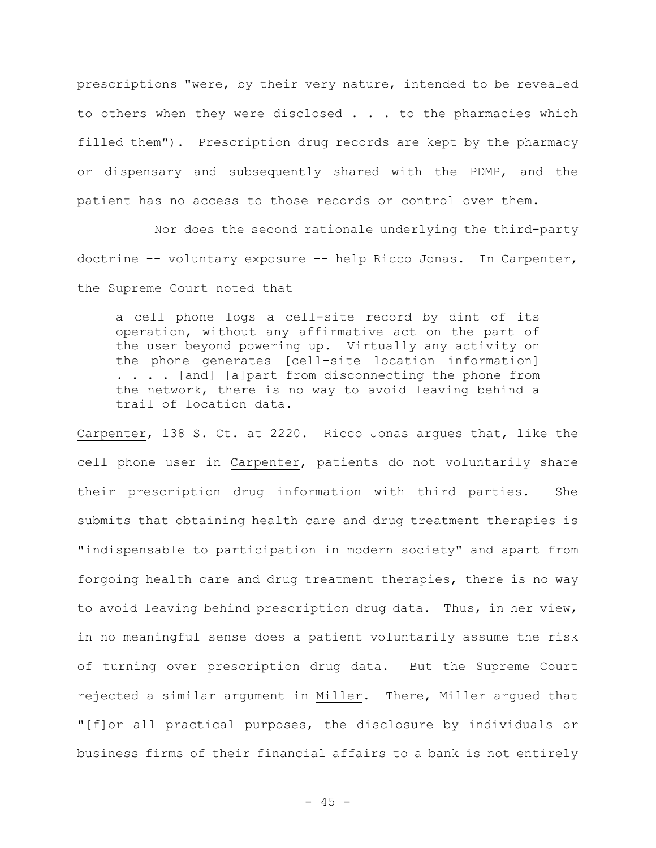prescriptions "were, by their very nature, intended to be revealed to others when they were disclosed . . . to the pharmacies which filled them"). Prescription drug records are kept by the pharmacy or dispensary and subsequently shared with the PDMP, and the patient has no access to those records or control over them.

Nor does the second rationale underlying the third-party doctrine -- voluntary exposure -- help Ricco Jonas. In Carpenter, the Supreme Court noted that

a cell phone logs a cell-site record by dint of its operation, without any affirmative act on the part of the user beyond powering up. Virtually any activity on the phone generates [cell-site location information] . . . . [and] [a]part from disconnecting the phone from the network, there is no way to avoid leaving behind a trail of location data.

Carpenter, 138 S. Ct. at 2220. Ricco Jonas argues that, like the cell phone user in Carpenter, patients do not voluntarily share their prescription drug information with third parties. She submits that obtaining health care and drug treatment therapies is "indispensable to participation in modern society" and apart from forgoing health care and drug treatment therapies, there is no way to avoid leaving behind prescription drug data. Thus, in her view, in no meaningful sense does a patient voluntarily assume the risk of turning over prescription drug data. But the Supreme Court rejected a similar argument in Miller. There, Miller argued that "[f]or all practical purposes, the disclosure by individuals or business firms of their financial affairs to a bank is not entirely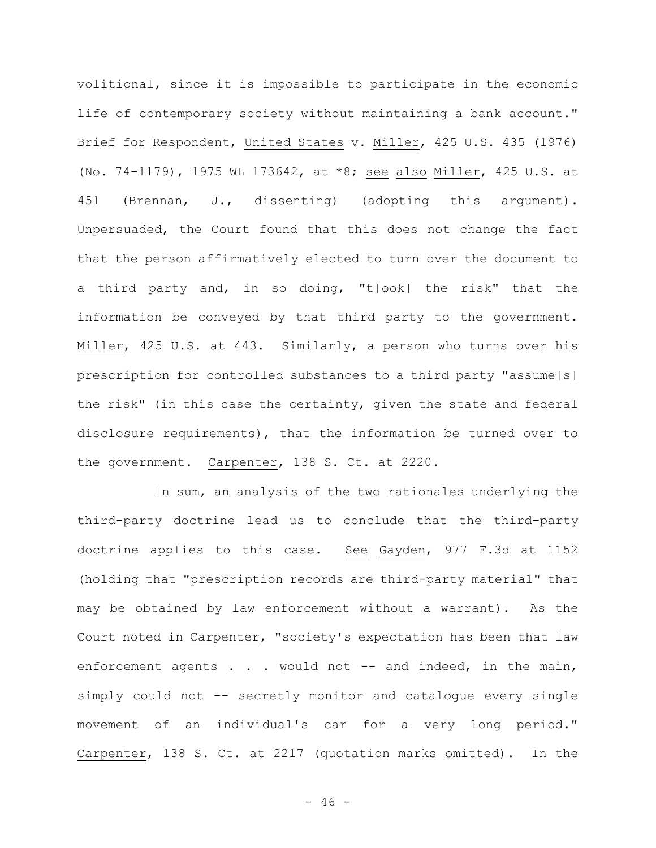volitional, since it is impossible to participate in the economic life of contemporary society without maintaining a bank account." Brief for Respondent, United States v. Miller, 425 U.S. 435 (1976) (No. 74-1179), 1975 WL 173642, at \*8; see also Miller, 425 U.S. at 451 (Brennan, J., dissenting) (adopting this argument). Unpersuaded, the Court found that this does not change the fact that the person affirmatively elected to turn over the document to a third party and, in so doing, "t[ook] the risk" that the information be conveyed by that third party to the government. Miller, 425 U.S. at 443. Similarly, a person who turns over his prescription for controlled substances to a third party "assume[s] the risk" (in this case the certainty, given the state and federal disclosure requirements), that the information be turned over to the government. Carpenter, 138 S. Ct. at 2220.

In sum, an analysis of the two rationales underlying the third-party doctrine lead us to conclude that the third-party doctrine applies to this case. See Gayden, 977 F.3d at 1152 (holding that "prescription records are third-party material" that may be obtained by law enforcement without a warrant). As the Court noted in Carpenter, "society's expectation has been that law enforcement agents . . . would not -- and indeed, in the main, simply could not -- secretly monitor and catalogue every single movement of an individual's car for a very long period." Carpenter, 138 S. Ct. at 2217 (quotation marks omitted). In the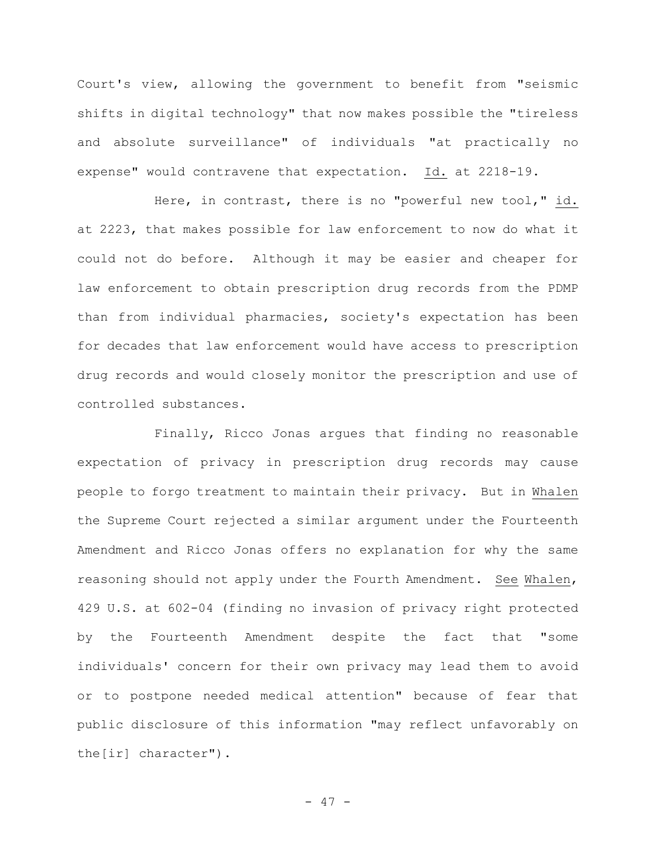Court's view, allowing the government to benefit from "seismic shifts in digital technology" that now makes possible the "tireless and absolute surveillance" of individuals "at practically no expense" would contravene that expectation. Id. at 2218-19.

Here, in contrast, there is no "powerful new tool," id. at 2223, that makes possible for law enforcement to now do what it could not do before. Although it may be easier and cheaper for law enforcement to obtain prescription drug records from the PDMP than from individual pharmacies, society's expectation has been for decades that law enforcement would have access to prescription drug records and would closely monitor the prescription and use of controlled substances.

Finally, Ricco Jonas argues that finding no reasonable expectation of privacy in prescription drug records may cause people to forgo treatment to maintain their privacy. But in Whalen the Supreme Court rejected a similar argument under the Fourteenth Amendment and Ricco Jonas offers no explanation for why the same reasoning should not apply under the Fourth Amendment. See Whalen, 429 U.S. at 602-04 (finding no invasion of privacy right protected by the Fourteenth Amendment despite the fact that "some individuals' concern for their own privacy may lead them to avoid or to postpone needed medical attention" because of fear that public disclosure of this information "may reflect unfavorably on the[ir] character").

- 47 -